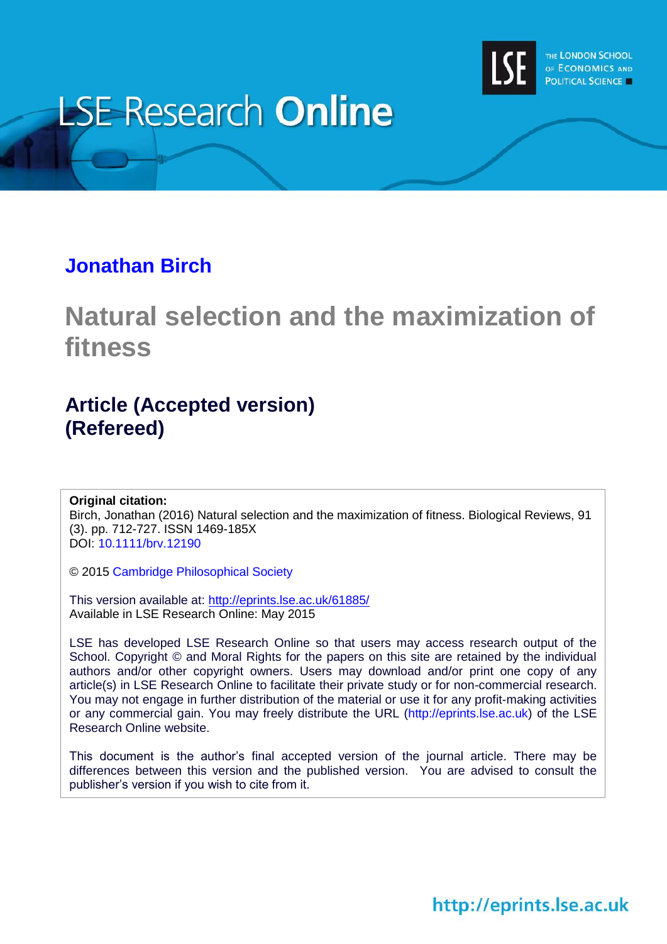

# **LSE Research Online**

## **[Jonathan Birch](http://www.lse.ac.uk/philosophy/)**

## **Natural selection and the maximization of fitness**

## **Article (Accepted version) (Refereed)**

#### **Original citation:**

Birch, Jonathan (2016) Natural selection and the maximization of fitness. Biological Reviews, 91 (3). pp. 712-727. ISSN 1469-185X DOI: [10.1111/brv.12190](http://dx.doi.org/10.1111/brv.12190)

© 2015 [Cambridge Philosophical Society](http://www.cambridgephilosophicalsociety.org/)

This version available at:<http://eprints.lse.ac.uk/61885/> Available in LSE Research Online: May 2015

LSE has developed LSE Research Online so that users may access research output of the School. Copyright © and Moral Rights for the papers on this site are retained by the individual authors and/or other copyright owners. Users may download and/or print one copy of any article(s) in LSE Research Online to facilitate their private study or for non-commercial research. You may not engage in further distribution of the material or use it for any profit-making activities or any commercial gain. You may freely distribute the URL (http://eprints.lse.ac.uk) of the LSE Research Online website.

This document is the author's final accepted version of the journal article. There may be differences between this version and the published version. You are advised to consult the publisher's version if you wish to cite from it.

http://eprints.lse.ac.uk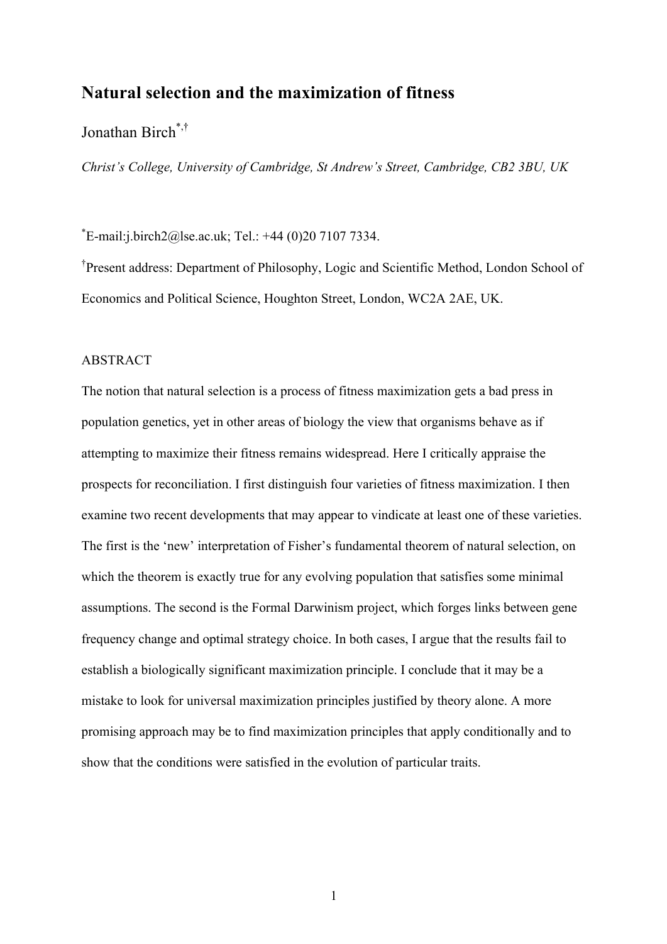#### **Natural selection and the maximization of fitness**

#### Jonathan Birch\*,†

*Christ's College, University of Cambridge, St Andrew's Street, Cambridge, CB2 3BU, UK*

\* E-mail:j.birch2@lse.ac.uk; Tel.: +44 (0)20 7107 7334.

† Present address: Department of Philosophy, Logic and Scientific Method, London School of Economics and Political Science, Houghton Street, London, WC2A 2AE, UK.

#### ABSTRACT

The notion that natural selection is a process of fitness maximization gets a bad press in population genetics, yet in other areas of biology the view that organisms behave as if attempting to maximize their fitness remains widespread. Here I critically appraise the prospects for reconciliation. I first distinguish four varieties of fitness maximization. I then examine two recent developments that may appear to vindicate at least one of these varieties. The first is the 'new' interpretation of Fisher's fundamental theorem of natural selection, on which the theorem is exactly true for any evolving population that satisfies some minimal assumptions. The second is the Formal Darwinism project, which forges links between gene frequency change and optimal strategy choice. In both cases, I argue that the results fail to establish a biologically significant maximization principle. I conclude that it may be a mistake to look for universal maximization principles justified by theory alone. A more promising approach may be to find maximization principles that apply conditionally and to show that the conditions were satisfied in the evolution of particular traits.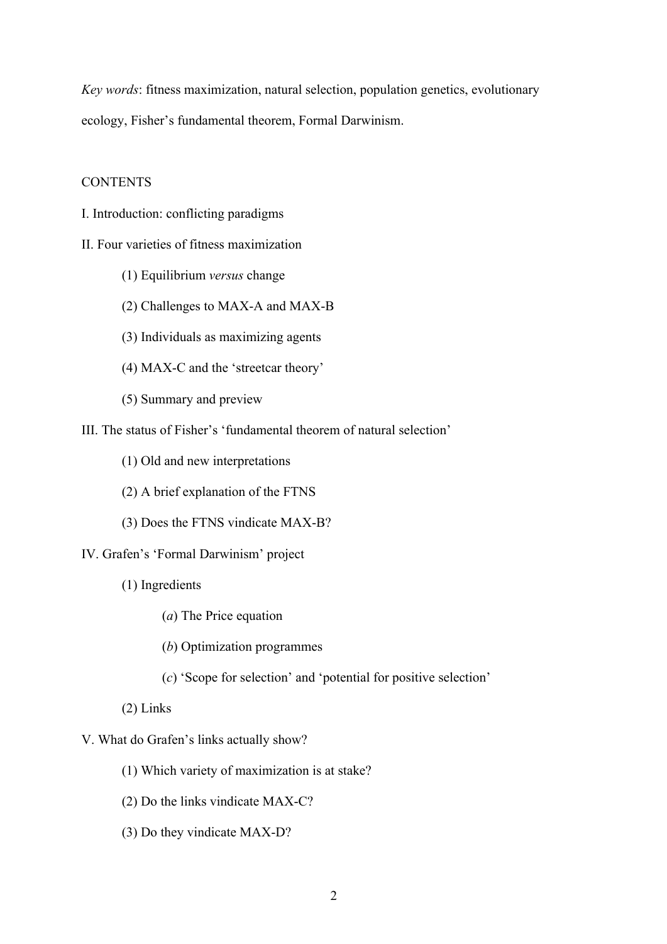*Key words*: fitness maximization, natural selection, population genetics, evolutionary ecology, Fisher's fundamental theorem, Formal Darwinism.

#### **CONTENTS**

- I. Introduction: conflicting paradigms
- II. Four varieties of fitness maximization
	- (1) Equilibrium *versus* change
	- (2) Challenges to MAX-A and MAX-B
	- (3) Individuals as maximizing agents
	- (4) MAX-C and the 'streetcar theory'
	- (5) Summary and preview
- III. The status of Fisher's 'fundamental theorem of natural selection'
	- (1) Old and new interpretations
	- (2) A brief explanation of the FTNS
	- (3) Does the FTNS vindicate MAX-B?
- IV. Grafen's 'Formal Darwinism' project
	- (1) Ingredients
		- (*a*) The Price equation
		- (*b*) Optimization programmes
		- (*c*) 'Scope for selection' and 'potential for positive selection'
	- (2) Links
- V. What do Grafen's links actually show?
	- (1) Which variety of maximization is at stake?
	- (2) Do the links vindicate MAX-C?
	- (3) Do they vindicate MAX-D?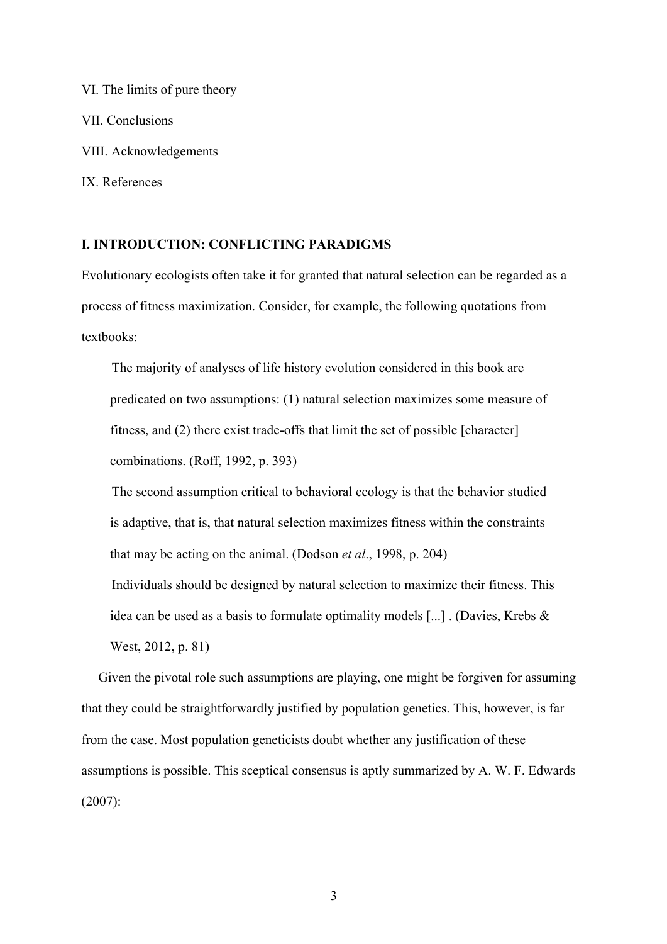VI. The limits of pure theory VII. Conclusions VIII. Acknowledgements IX. References

#### **I. INTRODUCTION: CONFLICTING PARADIGMS**

Evolutionary ecologists often take it for granted that natural selection can be regarded as a process of fitness maximization. Consider, for example, the following quotations from textbooks:

The majority of analyses of life history evolution considered in this book are predicated on two assumptions: (1) natural selection maximizes some measure of fitness, and (2) there exist trade-offs that limit the set of possible [character] combinations. (Roff, 1992, p. 393)

The second assumption critical to behavioral ecology is that the behavior studied is adaptive, that is, that natural selection maximizes fitness within the constraints that may be acting on the animal. (Dodson *et al*., 1998, p. 204) Individuals should be designed by natural selection to maximize their fitness. This idea can be used as a basis to formulate optimality models [...] . (Davies, Krebs & West, 2012, p. 81)

Given the pivotal role such assumptions are playing, one might be forgiven for assuming that they could be straightforwardly justified by population genetics. This, however, is far from the case. Most population geneticists doubt whether any justification of these assumptions is possible. This sceptical consensus is aptly summarized by A. W. F. Edwards (2007):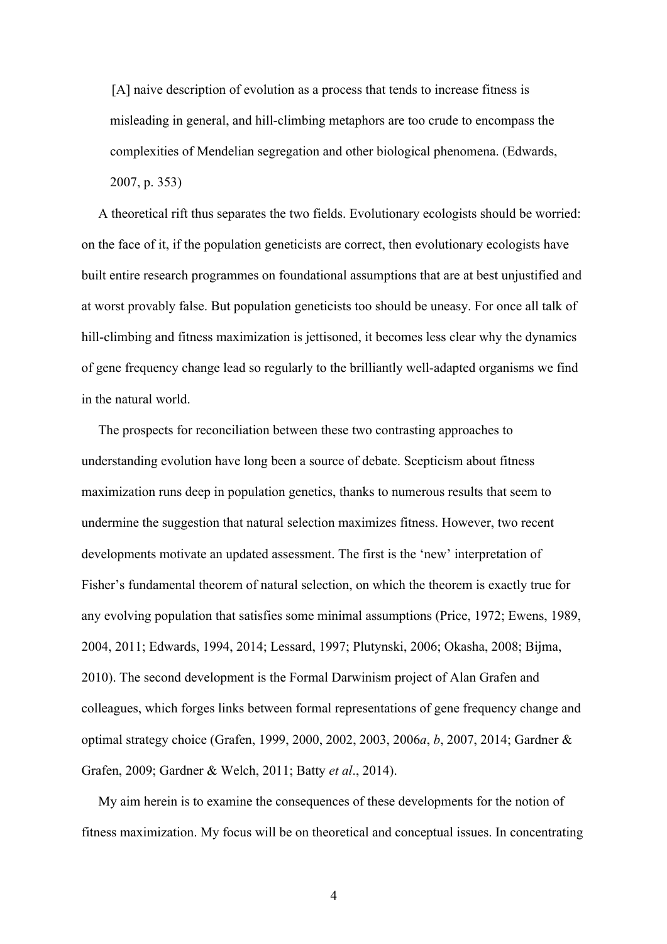[A] naive description of evolution as a process that tends to increase fitness is misleading in general, and hill-climbing metaphors are too crude to encompass the complexities of Mendelian segregation and other biological phenomena. (Edwards, 2007, p. 353)

A theoretical rift thus separates the two fields. Evolutionary ecologists should be worried: on the face of it, if the population geneticists are correct, then evolutionary ecologists have built entire research programmes on foundational assumptions that are at best unjustified and at worst provably false. But population geneticists too should be uneasy. For once all talk of hill-climbing and fitness maximization is jettisoned, it becomes less clear why the dynamics of gene frequency change lead so regularly to the brilliantly well-adapted organisms we find in the natural world.

The prospects for reconciliation between these two contrasting approaches to understanding evolution have long been a source of debate. Scepticism about fitness maximization runs deep in population genetics, thanks to numerous results that seem to undermine the suggestion that natural selection maximizes fitness. However, two recent developments motivate an updated assessment. The first is the 'new' interpretation of Fisher's fundamental theorem of natural selection, on which the theorem is exactly true for any evolving population that satisfies some minimal assumptions (Price, 1972; Ewens, 1989, 2004, 2011; Edwards, 1994, 2014; Lessard, 1997; Plutynski, 2006; Okasha, 2008; Bijma, 2010). The second development is the Formal Darwinism project of Alan Grafen and colleagues, which forges links between formal representations of gene frequency change and optimal strategy choice (Grafen, 1999, 2000, 2002, 2003, 2006*a*, *b*, 2007, 2014; Gardner & Grafen, 2009; Gardner & Welch, 2011; Batty *et al*., 2014).

My aim herein is to examine the consequences of these developments for the notion of fitness maximization. My focus will be on theoretical and conceptual issues. In concentrating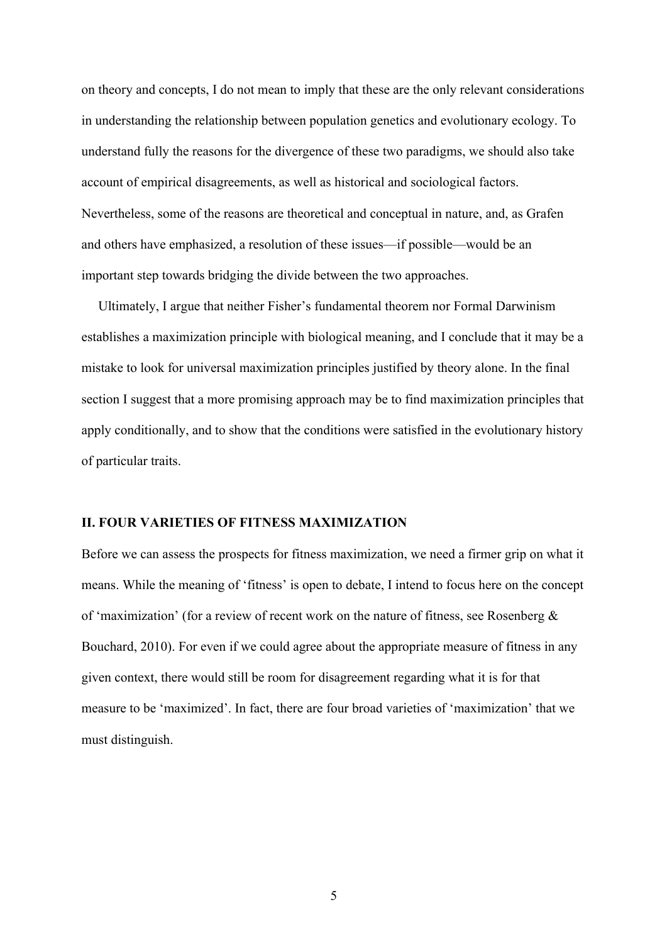on theory and concepts, I do not mean to imply that these are the only relevant considerations in understanding the relationship between population genetics and evolutionary ecology. To understand fully the reasons for the divergence of these two paradigms, we should also take account of empirical disagreements, as well as historical and sociological factors. Nevertheless, some of the reasons are theoretical and conceptual in nature, and, as Grafen and others have emphasized, a resolution of these issues—if possible—would be an important step towards bridging the divide between the two approaches.

Ultimately, I argue that neither Fisher's fundamental theorem nor Formal Darwinism establishes a maximization principle with biological meaning, and I conclude that it may be a mistake to look for universal maximization principles justified by theory alone. In the final section I suggest that a more promising approach may be to find maximization principles that apply conditionally, and to show that the conditions were satisfied in the evolutionary history of particular traits.

#### **II. FOUR VARIETIES OF FITNESS MAXIMIZATION**

Before we can assess the prospects for fitness maximization, we need a firmer grip on what it means. While the meaning of 'fitness' is open to debate, I intend to focus here on the concept of 'maximization' (for a review of recent work on the nature of fitness, see Rosenberg & Bouchard, 2010). For even if we could agree about the appropriate measure of fitness in any given context, there would still be room for disagreement regarding what it is for that measure to be 'maximized'. In fact, there are four broad varieties of 'maximization' that we must distinguish.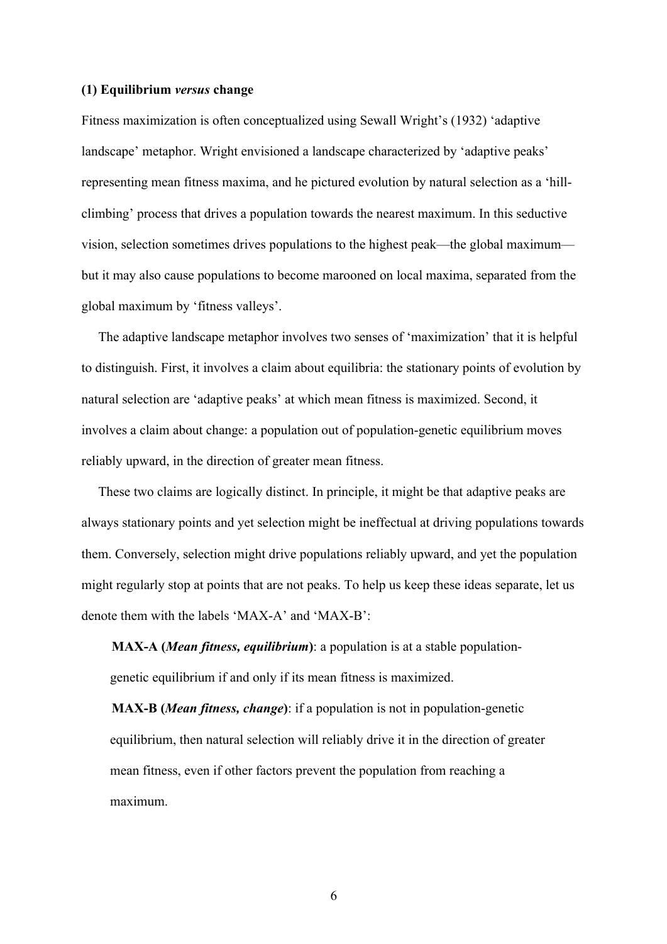#### **(1) Equilibrium** *versus* **change**

Fitness maximization is often conceptualized using Sewall Wright's (1932) 'adaptive landscape' metaphor. Wright envisioned a landscape characterized by 'adaptive peaks' representing mean fitness maxima, and he pictured evolution by natural selection as a 'hillclimbing' process that drives a population towards the nearest maximum. In this seductive vision, selection sometimes drives populations to the highest peak—the global maximum but it may also cause populations to become marooned on local maxima, separated from the global maximum by 'fitness valleys'.

The adaptive landscape metaphor involves two senses of 'maximization' that it is helpful to distinguish. First, it involves a claim about equilibria: the stationary points of evolution by natural selection are 'adaptive peaks' at which mean fitness is maximized. Second, it involves a claim about change: a population out of population-genetic equilibrium moves reliably upward, in the direction of greater mean fitness.

These two claims are logically distinct. In principle, it might be that adaptive peaks are always stationary points and yet selection might be ineffectual at driving populations towards them. Conversely, selection might drive populations reliably upward, and yet the population might regularly stop at points that are not peaks. To help us keep these ideas separate, let us denote them with the labels 'MAX-A' and 'MAX-B':

**MAX-A (***Mean fitness, equilibrium***)**: a population is at a stable populationgenetic equilibrium if and only if its mean fitness is maximized.

**MAX-B (***Mean fitness, change***)**: if a population is not in population-genetic equilibrium, then natural selection will reliably drive it in the direction of greater mean fitness, even if other factors prevent the population from reaching a maximum.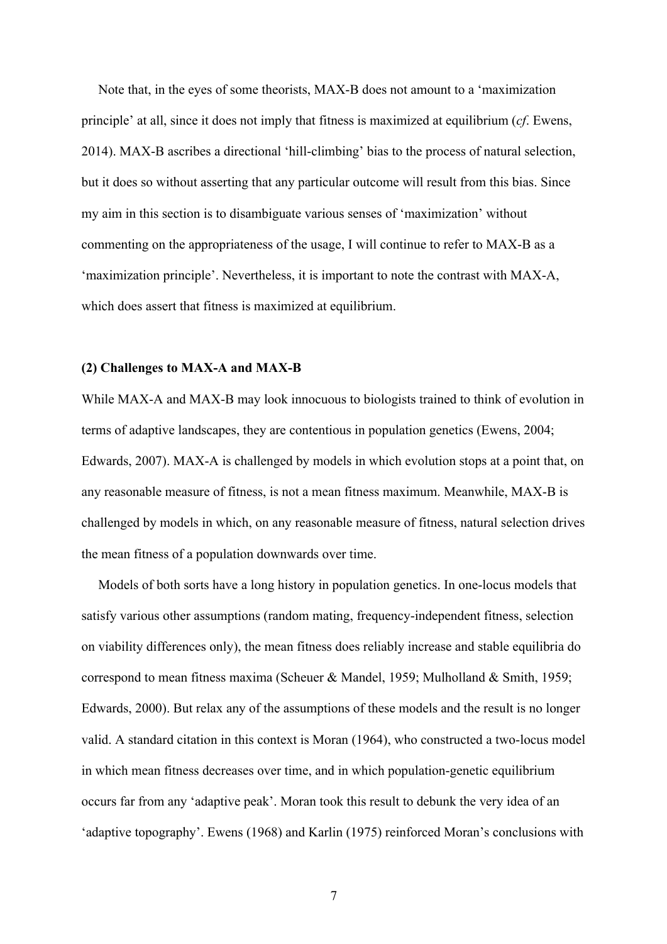Note that, in the eyes of some theorists, MAX-B does not amount to a 'maximization principle' at all, since it does not imply that fitness is maximized at equilibrium (*cf*. Ewens, 2014). MAX-B ascribes a directional 'hill-climbing' bias to the process of natural selection, but it does so without asserting that any particular outcome will result from this bias. Since my aim in this section is to disambiguate various senses of 'maximization' without commenting on the appropriateness of the usage, I will continue to refer to MAX-B as a 'maximization principle'. Nevertheless, it is important to note the contrast with MAX-A, which does assert that fitness is maximized at equilibrium.

#### **(2) Challenges to MAX-A and MAX-B**

While MAX-A and MAX-B may look innocuous to biologists trained to think of evolution in terms of adaptive landscapes, they are contentious in population genetics (Ewens, 2004; Edwards, 2007). MAX-A is challenged by models in which evolution stops at a point that, on any reasonable measure of fitness, is not a mean fitness maximum. Meanwhile, MAX-B is challenged by models in which, on any reasonable measure of fitness, natural selection drives the mean fitness of a population downwards over time.

Models of both sorts have a long history in population genetics. In one-locus models that satisfy various other assumptions (random mating, frequency-independent fitness, selection on viability differences only), the mean fitness does reliably increase and stable equilibria do correspond to mean fitness maxima (Scheuer & Mandel, 1959; Mulholland & Smith, 1959; Edwards, 2000). But relax any of the assumptions of these models and the result is no longer valid. A standard citation in this context is Moran (1964), who constructed a two-locus model in which mean fitness decreases over time, and in which population-genetic equilibrium occurs far from any 'adaptive peak'. Moran took this result to debunk the very idea of an 'adaptive topography'. Ewens (1968) and Karlin (1975) reinforced Moran's conclusions with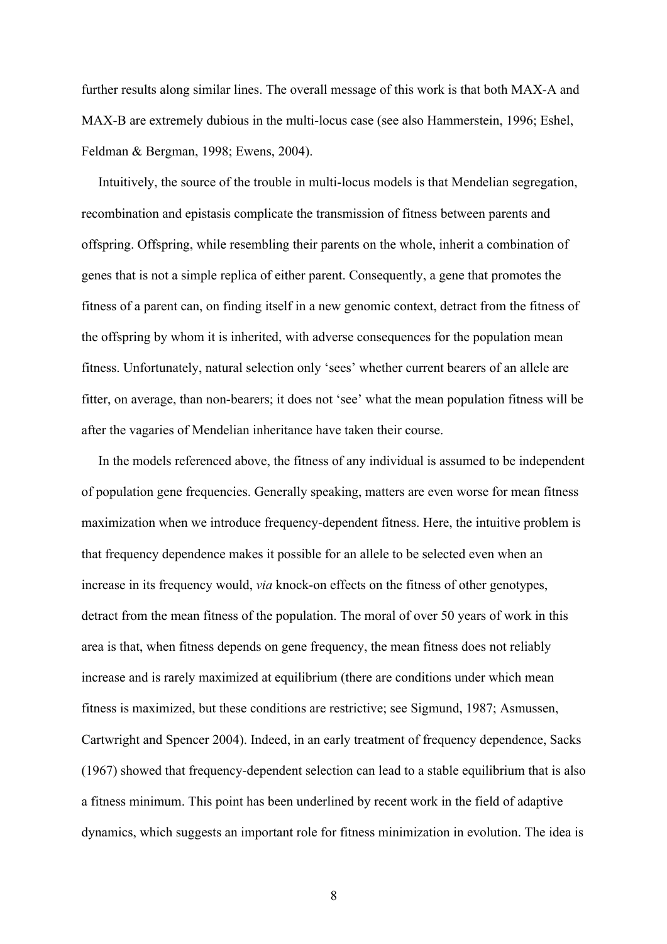further results along similar lines. The overall message of this work is that both MAX-A and MAX-B are extremely dubious in the multi-locus case (see also Hammerstein, 1996; Eshel, Feldman & Bergman, 1998; Ewens, 2004).

Intuitively, the source of the trouble in multi-locus models is that Mendelian segregation, recombination and epistasis complicate the transmission of fitness between parents and offspring. Offspring, while resembling their parents on the whole, inherit a combination of genes that is not a simple replica of either parent. Consequently, a gene that promotes the fitness of a parent can, on finding itself in a new genomic context, detract from the fitness of the offspring by whom it is inherited, with adverse consequences for the population mean fitness. Unfortunately, natural selection only 'sees' whether current bearers of an allele are fitter, on average, than non-bearers; it does not 'see' what the mean population fitness will be after the vagaries of Mendelian inheritance have taken their course.

In the models referenced above, the fitness of any individual is assumed to be independent of population gene frequencies. Generally speaking, matters are even worse for mean fitness maximization when we introduce frequency-dependent fitness. Here, the intuitive problem is that frequency dependence makes it possible for an allele to be selected even when an increase in its frequency would, *via* knock-on effects on the fitness of other genotypes, detract from the mean fitness of the population. The moral of over 50 years of work in this area is that, when fitness depends on gene frequency, the mean fitness does not reliably increase and is rarely maximized at equilibrium (there are conditions under which mean fitness is maximized, but these conditions are restrictive; see Sigmund, 1987; Asmussen, Cartwright and Spencer 2004). Indeed, in an early treatment of frequency dependence, Sacks (1967) showed that frequency-dependent selection can lead to a stable equilibrium that is also a fitness minimum. This point has been underlined by recent work in the field of adaptive dynamics, which suggests an important role for fitness minimization in evolution. The idea is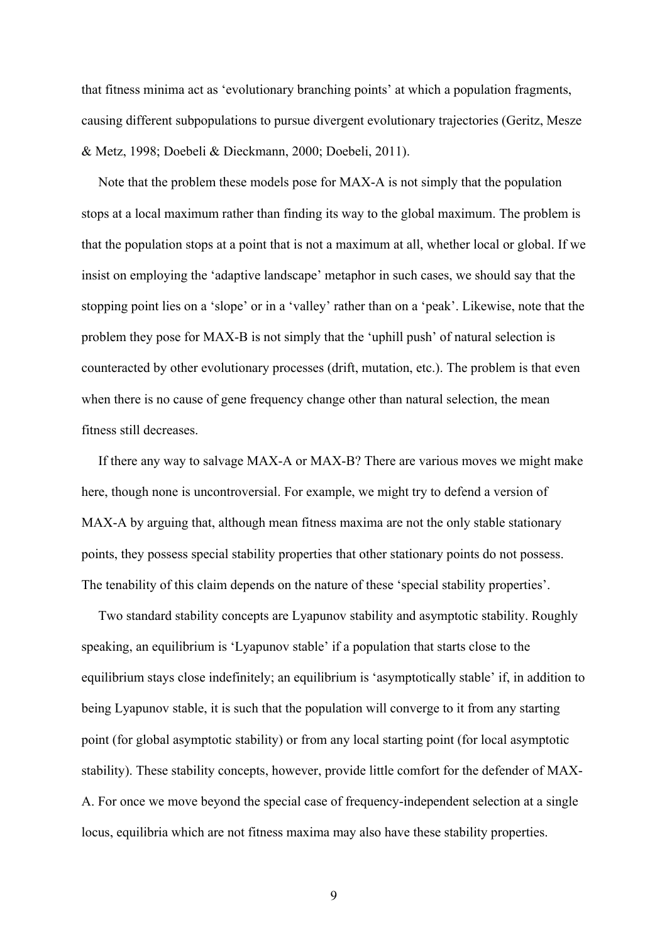that fitness minima act as 'evolutionary branching points' at which a population fragments, causing different subpopulations to pursue divergent evolutionary trajectories (Geritz, Mesze & Metz, 1998; Doebeli & Dieckmann, 2000; Doebeli, 2011).

Note that the problem these models pose for MAX-A is not simply that the population stops at a local maximum rather than finding its way to the global maximum. The problem is that the population stops at a point that is not a maximum at all, whether local or global. If we insist on employing the 'adaptive landscape' metaphor in such cases, we should say that the stopping point lies on a 'slope' or in a 'valley' rather than on a 'peak'. Likewise, note that the problem they pose for MAX-B is not simply that the 'uphill push' of natural selection is counteracted by other evolutionary processes (drift, mutation, etc.). The problem is that even when there is no cause of gene frequency change other than natural selection, the mean fitness still decreases.

If there any way to salvage MAX-A or MAX-B? There are various moves we might make here, though none is uncontroversial. For example, we might try to defend a version of MAX-A by arguing that, although mean fitness maxima are not the only stable stationary points, they possess special stability properties that other stationary points do not possess. The tenability of this claim depends on the nature of these 'special stability properties'.

Two standard stability concepts are Lyapunov stability and asymptotic stability. Roughly speaking, an equilibrium is 'Lyapunov stable' if a population that starts close to the equilibrium stays close indefinitely; an equilibrium is 'asymptotically stable' if, in addition to being Lyapunov stable, it is such that the population will converge to it from any starting point (for global asymptotic stability) or from any local starting point (for local asymptotic stability). These stability concepts, however, provide little comfort for the defender of MAX-A. For once we move beyond the special case of frequency-independent selection at a single locus, equilibria which are not fitness maxima may also have these stability properties.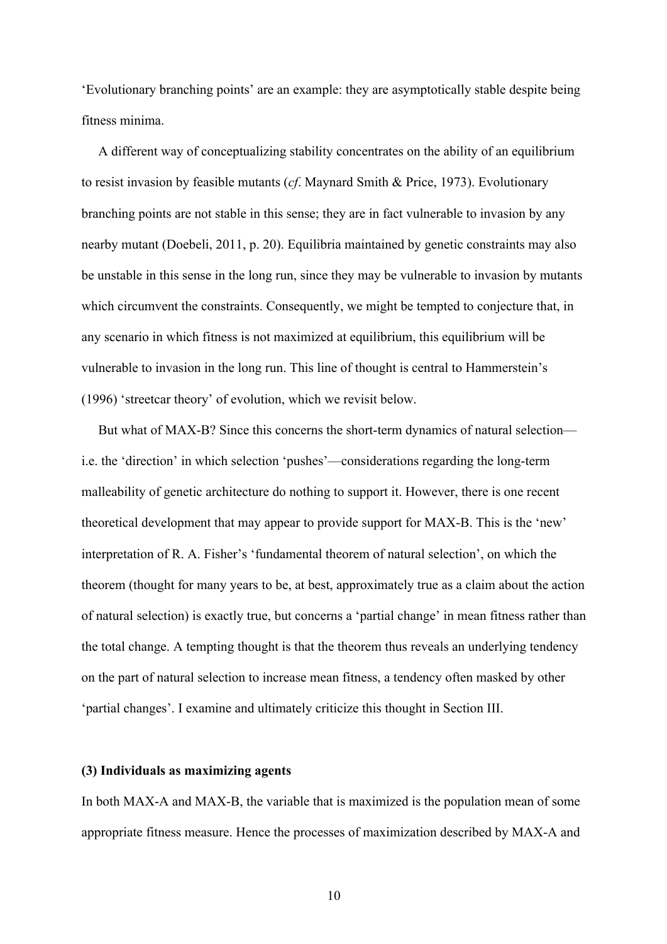'Evolutionary branching points' are an example: they are asymptotically stable despite being fitness minima.

A different way of conceptualizing stability concentrates on the ability of an equilibrium to resist invasion by feasible mutants (*cf*. Maynard Smith & Price, 1973). Evolutionary branching points are not stable in this sense; they are in fact vulnerable to invasion by any nearby mutant (Doebeli, 2011, p. 20). Equilibria maintained by genetic constraints may also be unstable in this sense in the long run, since they may be vulnerable to invasion by mutants which circumvent the constraints. Consequently, we might be tempted to conjecture that, in any scenario in which fitness is not maximized at equilibrium, this equilibrium will be vulnerable to invasion in the long run. This line of thought is central to Hammerstein's (1996) 'streetcar theory' of evolution, which we revisit below.

But what of MAX-B? Since this concerns the short-term dynamics of natural selection i.e. the 'direction' in which selection 'pushes'—considerations regarding the long-term malleability of genetic architecture do nothing to support it. However, there is one recent theoretical development that may appear to provide support for MAX-B. This is the 'new' interpretation of R. A. Fisher's 'fundamental theorem of natural selection', on which the theorem (thought for many years to be, at best, approximately true as a claim about the action of natural selection) is exactly true, but concerns a 'partial change' in mean fitness rather than the total change. A tempting thought is that the theorem thus reveals an underlying tendency on the part of natural selection to increase mean fitness, a tendency often masked by other 'partial changes'. I examine and ultimately criticize this thought in Section III.

#### **(3) Individuals as maximizing agents**

In both MAX-A and MAX-B, the variable that is maximized is the population mean of some appropriate fitness measure. Hence the processes of maximization described by MAX-A and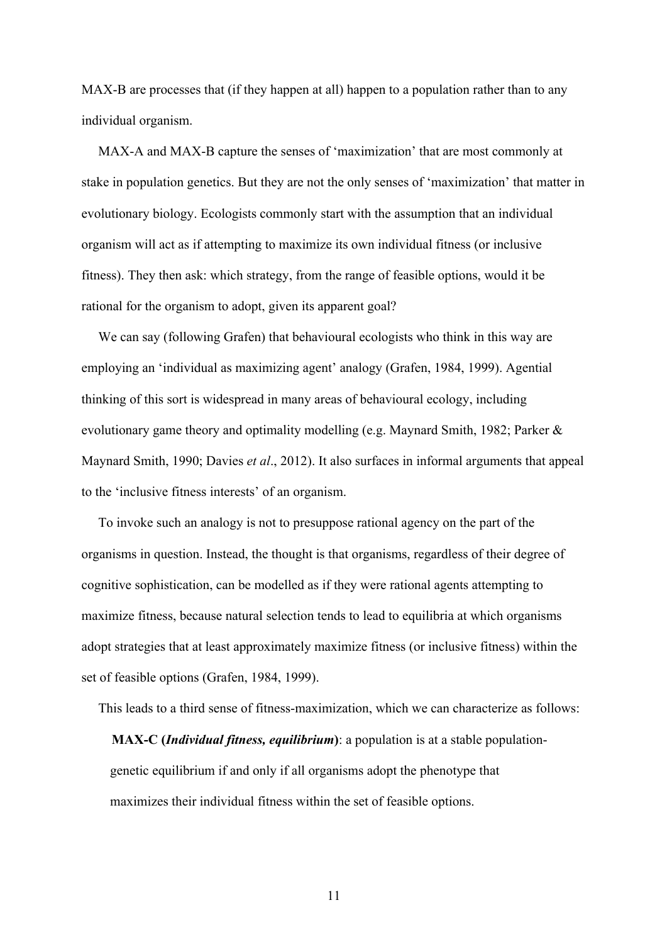MAX-B are processes that (if they happen at all) happen to a population rather than to any individual organism.

MAX-A and MAX-B capture the senses of 'maximization' that are most commonly at stake in population genetics. But they are not the only senses of 'maximization' that matter in evolutionary biology. Ecologists commonly start with the assumption that an individual organism will act as if attempting to maximize its own individual fitness (or inclusive fitness). They then ask: which strategy, from the range of feasible options, would it be rational for the organism to adopt, given its apparent goal?

We can say (following Grafen) that behavioural ecologists who think in this way are employing an 'individual as maximizing agent' analogy (Grafen, 1984, 1999). Agential thinking of this sort is widespread in many areas of behavioural ecology, including evolutionary game theory and optimality modelling (e.g. Maynard Smith, 1982; Parker & Maynard Smith, 1990; Davies *et al*., 2012). It also surfaces in informal arguments that appeal to the 'inclusive fitness interests' of an organism.

To invoke such an analogy is not to presuppose rational agency on the part of the organisms in question. Instead, the thought is that organisms, regardless of their degree of cognitive sophistication, can be modelled as if they were rational agents attempting to maximize fitness, because natural selection tends to lead to equilibria at which organisms adopt strategies that at least approximately maximize fitness (or inclusive fitness) within the set of feasible options (Grafen, 1984, 1999).

This leads to a third sense of fitness-maximization, which we can characterize as follows:

**MAX-C (***Individual fitness, equilibrium***)**: a population is at a stable populationgenetic equilibrium if and only if all organisms adopt the phenotype that maximizes their individual fitness within the set of feasible options.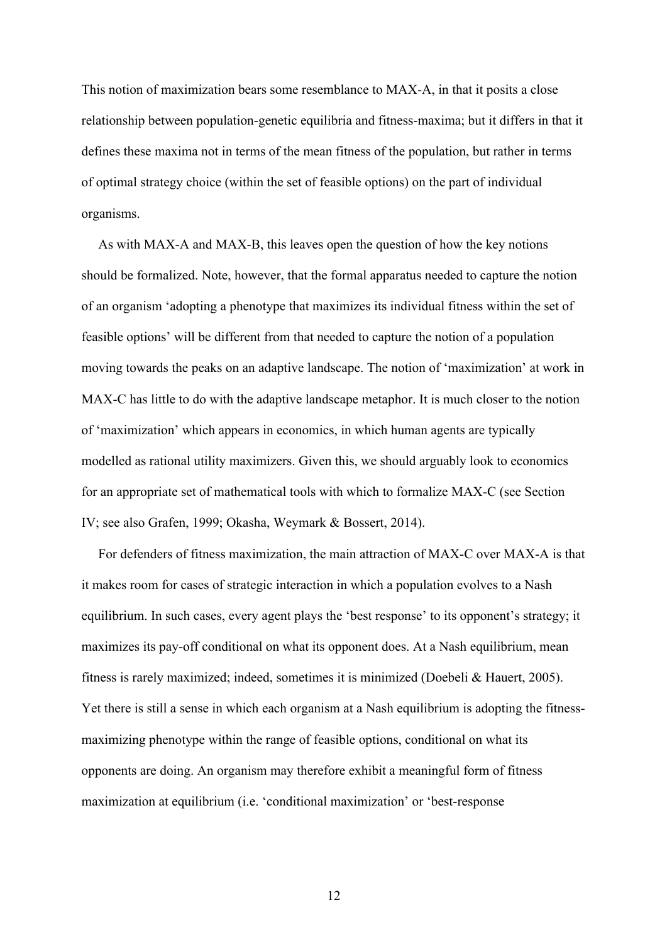This notion of maximization bears some resemblance to MAX-A, in that it posits a close relationship between population-genetic equilibria and fitness-maxima; but it differs in that it defines these maxima not in terms of the mean fitness of the population, but rather in terms of optimal strategy choice (within the set of feasible options) on the part of individual organisms.

As with MAX-A and MAX-B, this leaves open the question of how the key notions should be formalized. Note, however, that the formal apparatus needed to capture the notion of an organism 'adopting a phenotype that maximizes its individual fitness within the set of feasible options' will be different from that needed to capture the notion of a population moving towards the peaks on an adaptive landscape. The notion of 'maximization' at work in MAX-C has little to do with the adaptive landscape metaphor. It is much closer to the notion of 'maximization' which appears in economics, in which human agents are typically modelled as rational utility maximizers. Given this, we should arguably look to economics for an appropriate set of mathematical tools with which to formalize MAX-C (see Section IV; see also Grafen, 1999; Okasha, Weymark & Bossert, 2014).

For defenders of fitness maximization, the main attraction of MAX-C over MAX-A is that it makes room for cases of strategic interaction in which a population evolves to a Nash equilibrium. In such cases, every agent plays the 'best response' to its opponent's strategy; it maximizes its pay-off conditional on what its opponent does. At a Nash equilibrium, mean fitness is rarely maximized; indeed, sometimes it is minimized (Doebeli & Hauert, 2005). Yet there is still a sense in which each organism at a Nash equilibrium is adopting the fitnessmaximizing phenotype within the range of feasible options, conditional on what its opponents are doing. An organism may therefore exhibit a meaningful form of fitness maximization at equilibrium (i.e. 'conditional maximization' or 'best-response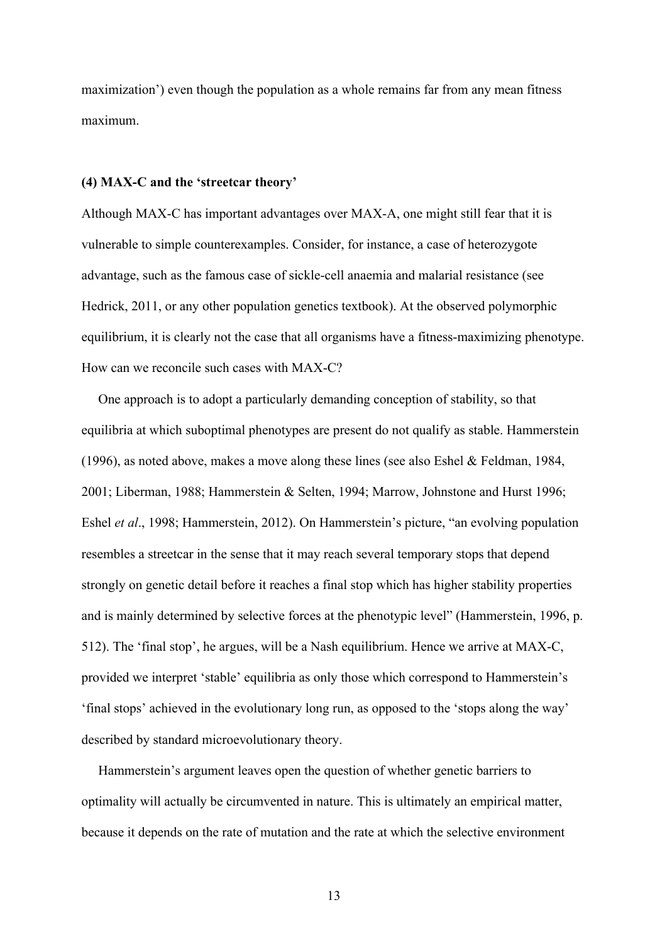maximization') even though the population as a whole remains far from any mean fitness maximum.

#### **(4) MAX-C and the 'streetcar theory'**

Although MAX-C has important advantages over MAX-A, one might still fear that it is vulnerable to simple counterexamples. Consider, for instance, a case of heterozygote advantage, such as the famous case of sickle-cell anaemia and malarial resistance (see Hedrick, 2011, or any other population genetics textbook). At the observed polymorphic equilibrium, it is clearly not the case that all organisms have a fitness-maximizing phenotype. How can we reconcile such cases with MAX-C?

One approach is to adopt a particularly demanding conception of stability, so that equilibria at which suboptimal phenotypes are present do not qualify as stable. Hammerstein (1996), as noted above, makes a move along these lines (see also Eshel & Feldman, 1984, 2001; Liberman, 1988; Hammerstein & Selten, 1994; Marrow, Johnstone and Hurst 1996; Eshel *et al*., 1998; Hammerstein, 2012). On Hammerstein's picture, "an evolving population resembles a streetcar in the sense that it may reach several temporary stops that depend strongly on genetic detail before it reaches a final stop which has higher stability properties and is mainly determined by selective forces at the phenotypic level" (Hammerstein, 1996, p. 512). The 'final stop', he argues, will be a Nash equilibrium. Hence we arrive at MAX-C, provided we interpret 'stable' equilibria as only those which correspond to Hammerstein's 'final stops' achieved in the evolutionary long run, as opposed to the 'stops along the way' described by standard microevolutionary theory.

Hammerstein's argument leaves open the question of whether genetic barriers to optimality will actually be circumvented in nature. This is ultimately an empirical matter, because it depends on the rate of mutation and the rate at which the selective environment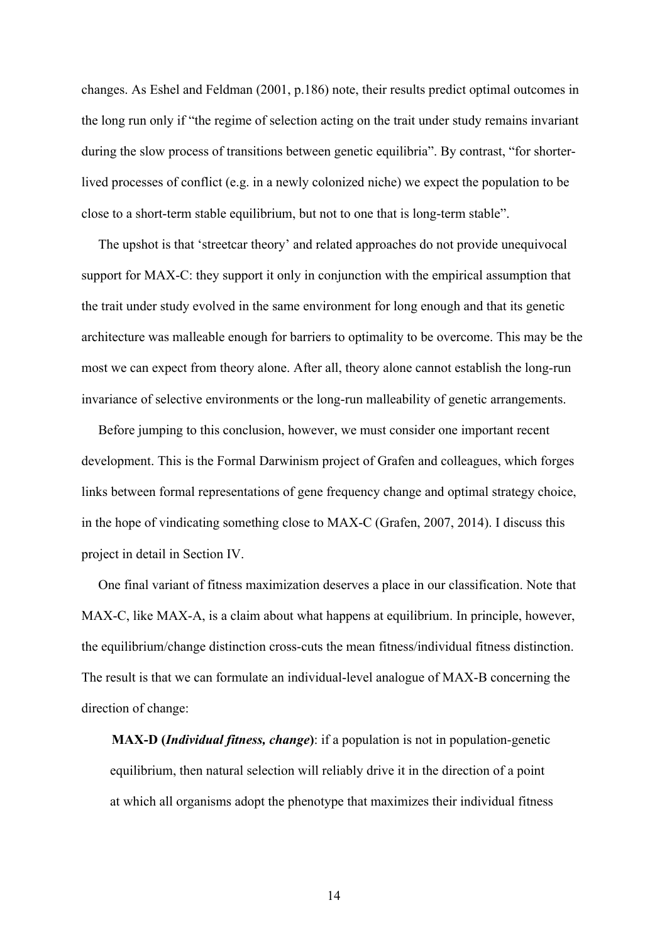changes. As Eshel and Feldman (2001, p.186) note, their results predict optimal outcomes in the long run only if "the regime of selection acting on the trait under study remains invariant during the slow process of transitions between genetic equilibria". By contrast, "for shorterlived processes of conflict (e.g. in a newly colonized niche) we expect the population to be close to a short-term stable equilibrium, but not to one that is long-term stable".

The upshot is that 'streetcar theory' and related approaches do not provide unequivocal support for MAX-C: they support it only in conjunction with the empirical assumption that the trait under study evolved in the same environment for long enough and that its genetic architecture was malleable enough for barriers to optimality to be overcome. This may be the most we can expect from theory alone. After all, theory alone cannot establish the long-run invariance of selective environments or the long-run malleability of genetic arrangements.

Before jumping to this conclusion, however, we must consider one important recent development. This is the Formal Darwinism project of Grafen and colleagues, which forges links between formal representations of gene frequency change and optimal strategy choice, in the hope of vindicating something close to MAX-C (Grafen, 2007, 2014). I discuss this project in detail in Section IV.

One final variant of fitness maximization deserves a place in our classification. Note that MAX-C, like MAX-A, is a claim about what happens at equilibrium. In principle, however, the equilibrium/change distinction cross-cuts the mean fitness/individual fitness distinction. The result is that we can formulate an individual-level analogue of MAX-B concerning the direction of change:

**MAX-D (***Individual fitness, change***)**: if a population is not in population-genetic equilibrium, then natural selection will reliably drive it in the direction of a point at which all organisms adopt the phenotype that maximizes their individual fitness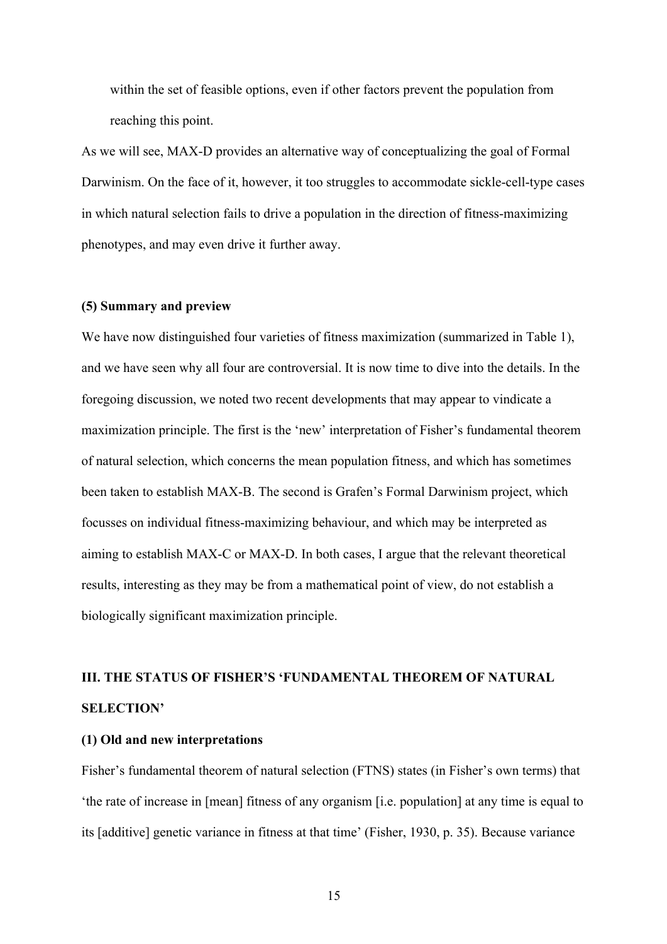within the set of feasible options, even if other factors prevent the population from reaching this point.

As we will see, MAX-D provides an alternative way of conceptualizing the goal of Formal Darwinism. On the face of it, however, it too struggles to accommodate sickle-cell-type cases in which natural selection fails to drive a population in the direction of fitness-maximizing phenotypes, and may even drive it further away.

#### **(5) Summary and preview**

We have now distinguished four varieties of fitness maximization (summarized in Table 1), and we have seen why all four are controversial. It is now time to dive into the details. In the foregoing discussion, we noted two recent developments that may appear to vindicate a maximization principle. The first is the 'new' interpretation of Fisher's fundamental theorem of natural selection, which concerns the mean population fitness, and which has sometimes been taken to establish MAX-B. The second is Grafen's Formal Darwinism project, which focusses on individual fitness-maximizing behaviour, and which may be interpreted as aiming to establish MAX-C or MAX-D. In both cases, I argue that the relevant theoretical results, interesting as they may be from a mathematical point of view, do not establish a biologically significant maximization principle.

### **III. THE STATUS OF FISHER'S 'FUNDAMENTAL THEOREM OF NATURAL SELECTION'**

#### **(1) Old and new interpretations**

Fisher's fundamental theorem of natural selection (FTNS) states (in Fisher's own terms) that 'the rate of increase in [mean] fitness of any organism [i.e. population] at any time is equal to its [additive] genetic variance in fitness at that time' (Fisher, 1930, p. 35). Because variance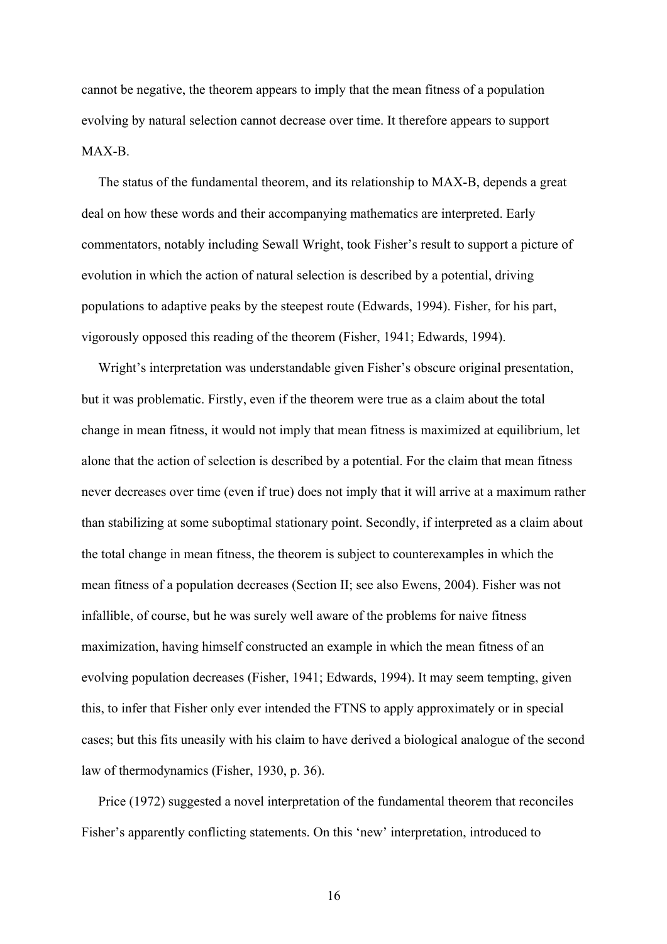cannot be negative, the theorem appears to imply that the mean fitness of a population evolving by natural selection cannot decrease over time. It therefore appears to support MAX-B.

The status of the fundamental theorem, and its relationship to MAX-B, depends a great deal on how these words and their accompanying mathematics are interpreted. Early commentators, notably including Sewall Wright, took Fisher's result to support a picture of evolution in which the action of natural selection is described by a potential, driving populations to adaptive peaks by the steepest route (Edwards, 1994). Fisher, for his part, vigorously opposed this reading of the theorem (Fisher, 1941; Edwards, 1994).

Wright's interpretation was understandable given Fisher's obscure original presentation, but it was problematic. Firstly, even if the theorem were true as a claim about the total change in mean fitness, it would not imply that mean fitness is maximized at equilibrium, let alone that the action of selection is described by a potential. For the claim that mean fitness never decreases over time (even if true) does not imply that it will arrive at a maximum rather than stabilizing at some suboptimal stationary point. Secondly, if interpreted as a claim about the total change in mean fitness, the theorem is subject to counterexamples in which the mean fitness of a population decreases (Section II; see also Ewens, 2004). Fisher was not infallible, of course, but he was surely well aware of the problems for naive fitness maximization, having himself constructed an example in which the mean fitness of an evolving population decreases (Fisher, 1941; Edwards, 1994). It may seem tempting, given this, to infer that Fisher only ever intended the FTNS to apply approximately or in special cases; but this fits uneasily with his claim to have derived a biological analogue of the second law of thermodynamics (Fisher, 1930, p. 36).

Price (1972) suggested a novel interpretation of the fundamental theorem that reconciles Fisher's apparently conflicting statements. On this 'new' interpretation, introduced to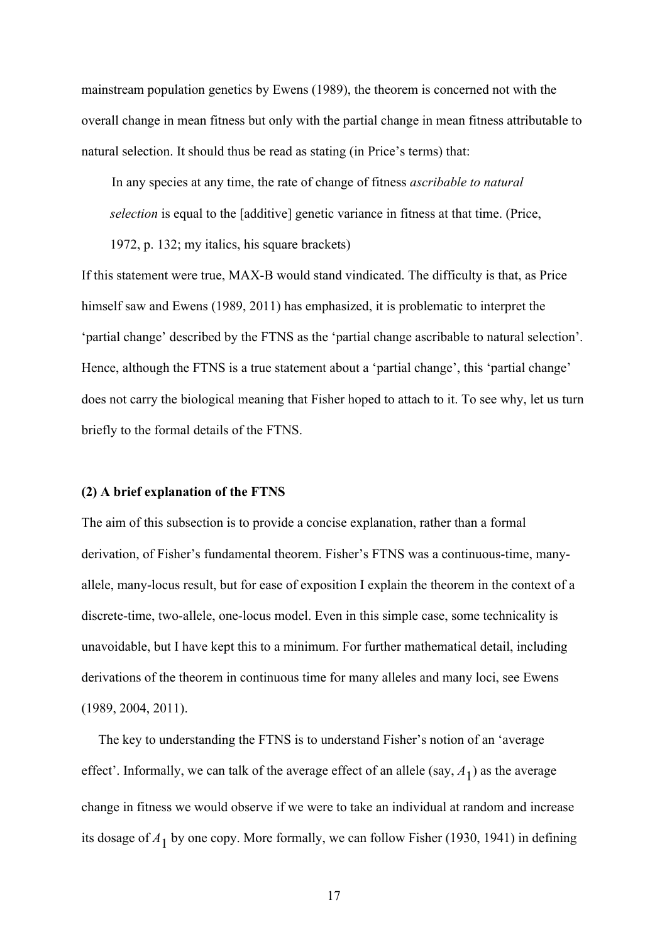mainstream population genetics by Ewens (1989), the theorem is concerned not with the overall change in mean fitness but only with the partial change in mean fitness attributable to natural selection. It should thus be read as stating (in Price's terms) that:

In any species at any time, the rate of change of fitness *ascribable to natural selection* is equal to the [additive] genetic variance in fitness at that time. (Price, 1972, p. 132; my italics, his square brackets)

If this statement were true, MAX-B would stand vindicated. The difficulty is that, as Price himself saw and Ewens (1989, 2011) has emphasized, it is problematic to interpret the 'partial change' described by the FTNS as the 'partial change ascribable to natural selection'. Hence, although the FTNS is a true statement about a 'partial change', this 'partial change' does not carry the biological meaning that Fisher hoped to attach to it. To see why, let us turn briefly to the formal details of the FTNS.

#### **(2) A brief explanation of the FTNS**

The aim of this subsection is to provide a concise explanation, rather than a formal derivation, of Fisher's fundamental theorem. Fisher's FTNS was a continuous-time, manyallele, many-locus result, but for ease of exposition I explain the theorem in the context of a discrete-time, two-allele, one-locus model. Even in this simple case, some technicality is unavoidable, but I have kept this to a minimum. For further mathematical detail, including derivations of the theorem in continuous time for many alleles and many loci, see Ewens (1989, 2004, 2011).

The key to understanding the FTNS is to understand Fisher's notion of an 'average effect'. Informally, we can talk of the average effect of an allele (say,  $A_1$ ) as the average change in fitness we would observe if we were to take an individual at random and increase its dosage of  $A_1$  by one copy. More formally, we can follow Fisher (1930, 1941) in defining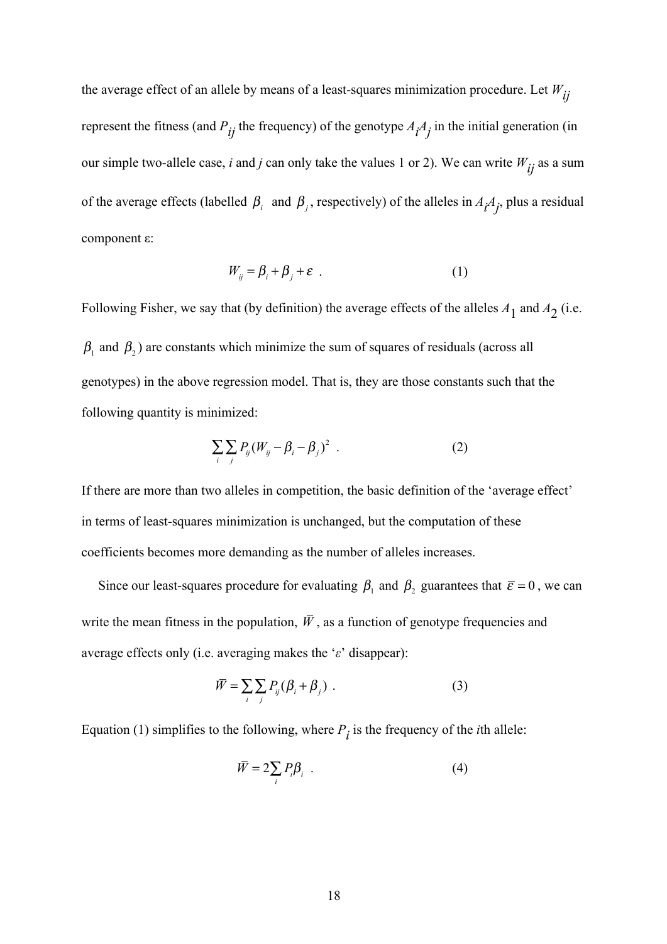the average effect of an allele by means of a least-squares minimization procedure. Let  $W_{ij}$ represent the fitness (and  $P_{ij}$  the frequency) of the genotype  $A_iA_j$  in the initial generation (in our simple two-allele case, *i* and *j* can only take the values 1 or 2). We can write  $W_{ij}$  as a sum of the average effects (labelled  $\beta$ <sub>*i*</sub> and  $\beta$ <sub>*j*</sub>, respectively) of the alleles in  $A_iA_j$ , plus a residual component ε:

$$
W_{ij} = \beta_i + \beta_j + \varepsilon \tag{1}
$$

Following Fisher, we say that (by definition) the average effects of the alleles  $A_1$  and  $A_2$  (i.e.  $\beta_1$  and  $\beta_2$ ) are constants which minimize the sum of squares of residuals (across all genotypes) in the above regression model. That is, they are those constants such that the following quantity is minimized:

$$
\sum_{i} \sum_{j} P_{ij} (W_{ij} - \beta_i - \beta_j)^2 \quad . \tag{2}
$$

If there are more than two alleles in competition, the basic definition of the 'average effect' in terms of least-squares minimization is unchanged, but the computation of these coefficients becomes more demanding as the number of alleles increases.

Since our least-squares procedure for evaluating  $\beta_1$  and  $\beta_2$  guarantees that  $\bar{\varepsilon} = 0$ , we can write the mean fitness in the population,  $\overline{W}$ , as a function of genotype frequencies and average effects only (i.e. averaging makes the '*ε*' disappear):

$$
\overline{W} = \sum_{i} \sum_{j} P_{ij} (\beta_i + \beta_j) . \tag{3}
$$

Equation (1) simplifies to the following, where  $P_i$  is the frequency of the *i*th allele:

$$
\overline{W} = 2 \sum_{i} P_{i} \beta_{i} \tag{4}
$$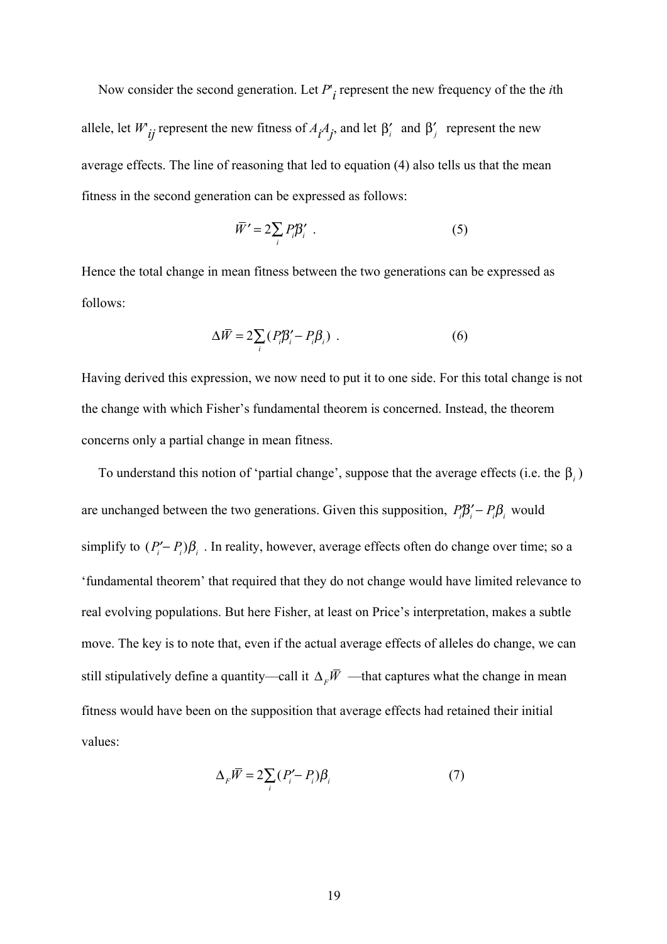Now consider the second generation. Let *P*' *i* represent the new frequency of the the *i*th allele, let  $W_{ij}$  represent the new fitness of  $A_iA_j$ , and let  $\beta'_i$  and  $\beta'_j$  represent the new average effects. The line of reasoning that led to equation (4) also tells us that the mean fitness in the second generation can be expressed as follows:

$$
\overline{W}' = 2 \sum_{i} P_{i}' \overline{B}_{i}' \quad . \tag{5}
$$

Hence the total change in mean fitness between the two generations can be expressed as follows:

$$
\Delta \overline{W} = 2 \sum_{i} (P_i \mathcal{B}'_i - P_i \mathcal{B}_i) \tag{6}
$$

Having derived this expression, we now need to put it to one side. For this total change is not the change with which Fisher's fundamental theorem is concerned. Instead, the theorem concerns only a partial change in mean fitness.

To understand this notion of 'partial change', suppose that the average effects (i.e. the β*<sup>i</sup>* ) are unchanged between the two generations. Given this supposition,  $P_i^j B_i' - P_i^j B_i$  would simplify to  $(P'_i - P_i)\beta_i$ . In reality, however, average effects often do change over time; so a 'fundamental theorem' that required that they do not change would have limited relevance to real evolving populations. But here Fisher, at least on Price's interpretation, makes a subtle move. The key is to note that, even if the actual average effects of alleles do change, we can still stipulatively define a quantity—call it  $\Delta_F \overline{W}$  —that captures what the change in mean fitness would have been on the supposition that average effects had retained their initial values:

$$
\Delta_F \overline{W} = 2 \sum_i (P'_i - P_i) \beta_i \tag{7}
$$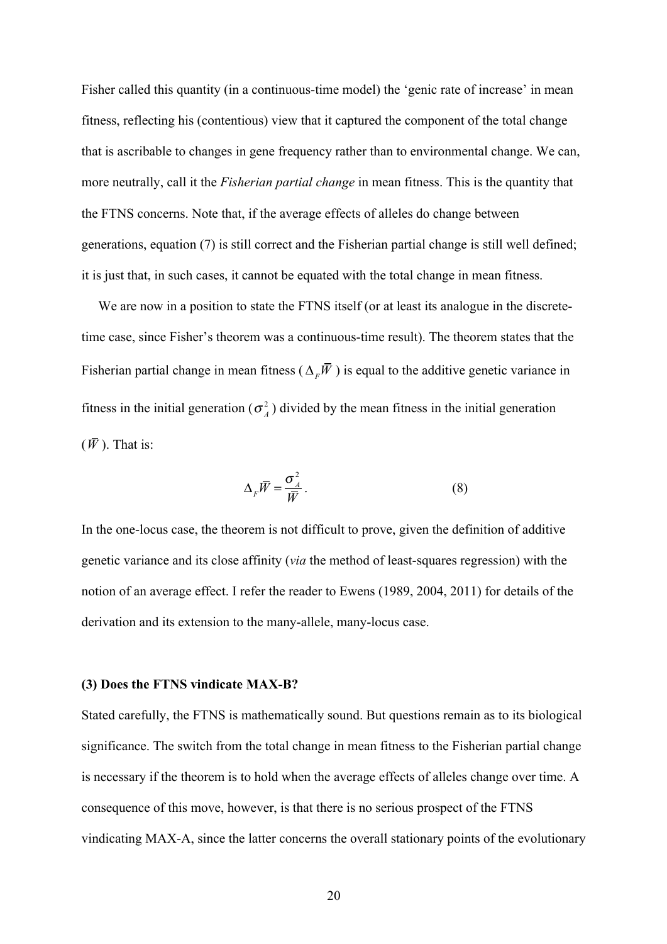Fisher called this quantity (in a continuous-time model) the 'genic rate of increase' in mean fitness, reflecting his (contentious) view that it captured the component of the total change that is ascribable to changes in gene frequency rather than to environmental change. We can, more neutrally, call it the *Fisherian partial change* in mean fitness. This is the quantity that the FTNS concerns. Note that, if the average effects of alleles do change between generations, equation (7) is still correct and the Fisherian partial change is still well defined; it is just that, in such cases, it cannot be equated with the total change in mean fitness.

We are now in a position to state the FTNS itself (or at least its analogue in the discretetime case, since Fisher's theorem was a continuous-time result). The theorem states that the Fisherian partial change in mean fitness ( $\Delta_F \overline{W}$ ) is equal to the additive genetic variance in fitness in the initial generation ( $\sigma_A^2$ ) divided by the mean fitness in the initial generation  $(\bar{W})$ . That is:

$$
\Delta_F \overline{W} = \frac{\sigma_A^2}{\overline{W}}.
$$
\n(8)

In the one-locus case, the theorem is not difficult to prove, given the definition of additive genetic variance and its close affinity (*via* the method of least-squares regression) with the notion of an average effect. I refer the reader to Ewens (1989, 2004, 2011) for details of the derivation and its extension to the many-allele, many-locus case.

#### **(3) Does the FTNS vindicate MAX-B?**

Stated carefully, the FTNS is mathematically sound. But questions remain as to its biological significance. The switch from the total change in mean fitness to the Fisherian partial change is necessary if the theorem is to hold when the average effects of alleles change over time. A consequence of this move, however, is that there is no serious prospect of the FTNS vindicating MAX-A, since the latter concerns the overall stationary points of the evolutionary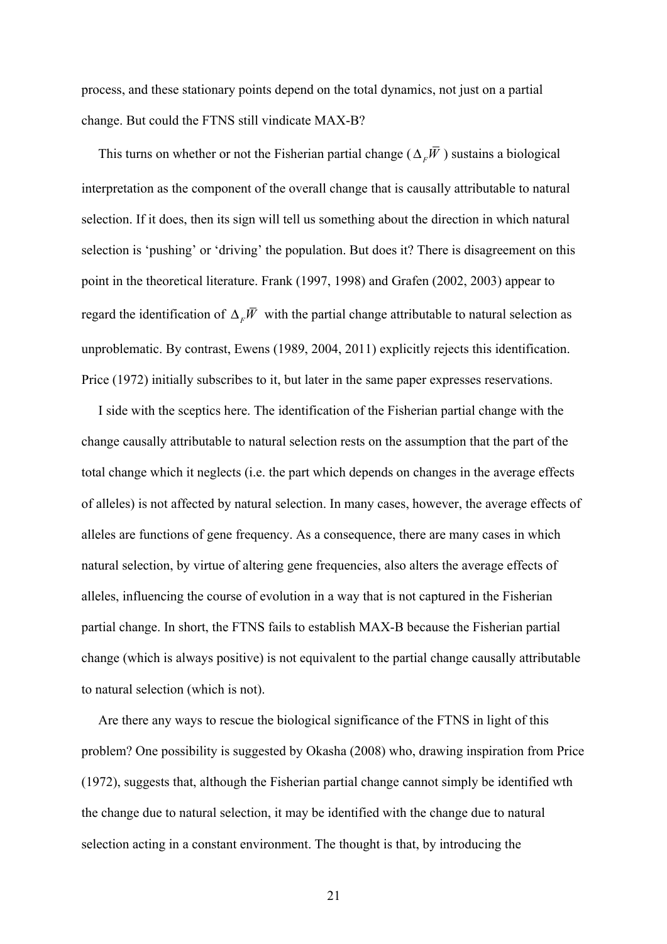process, and these stationary points depend on the total dynamics, not just on a partial change. But could the FTNS still vindicate MAX-B?

This turns on whether or not the Fisherian partial change ( $\Delta F\bar{W}$ ) sustains a biological interpretation as the component of the overall change that is causally attributable to natural selection. If it does, then its sign will tell us something about the direction in which natural selection is 'pushing' or 'driving' the population. But does it? There is disagreement on this point in the theoretical literature. Frank (1997, 1998) and Grafen (2002, 2003) appear to regard the identification of  $\Delta F \overline{W}$  with the partial change attributable to natural selection as unproblematic. By contrast, Ewens (1989, 2004, 2011) explicitly rejects this identification. Price (1972) initially subscribes to it, but later in the same paper expresses reservations.

I side with the sceptics here. The identification of the Fisherian partial change with the change causally attributable to natural selection rests on the assumption that the part of the total change which it neglects (i.e. the part which depends on changes in the average effects of alleles) is not affected by natural selection. In many cases, however, the average effects of alleles are functions of gene frequency. As a consequence, there are many cases in which natural selection, by virtue of altering gene frequencies, also alters the average effects of alleles, influencing the course of evolution in a way that is not captured in the Fisherian partial change. In short, the FTNS fails to establish MAX-B because the Fisherian partial change (which is always positive) is not equivalent to the partial change causally attributable to natural selection (which is not).

Are there any ways to rescue the biological significance of the FTNS in light of this problem? One possibility is suggested by Okasha (2008) who, drawing inspiration from Price (1972), suggests that, although the Fisherian partial change cannot simply be identified wth the change due to natural selection, it may be identified with the change due to natural selection acting in a constant environment. The thought is that, by introducing the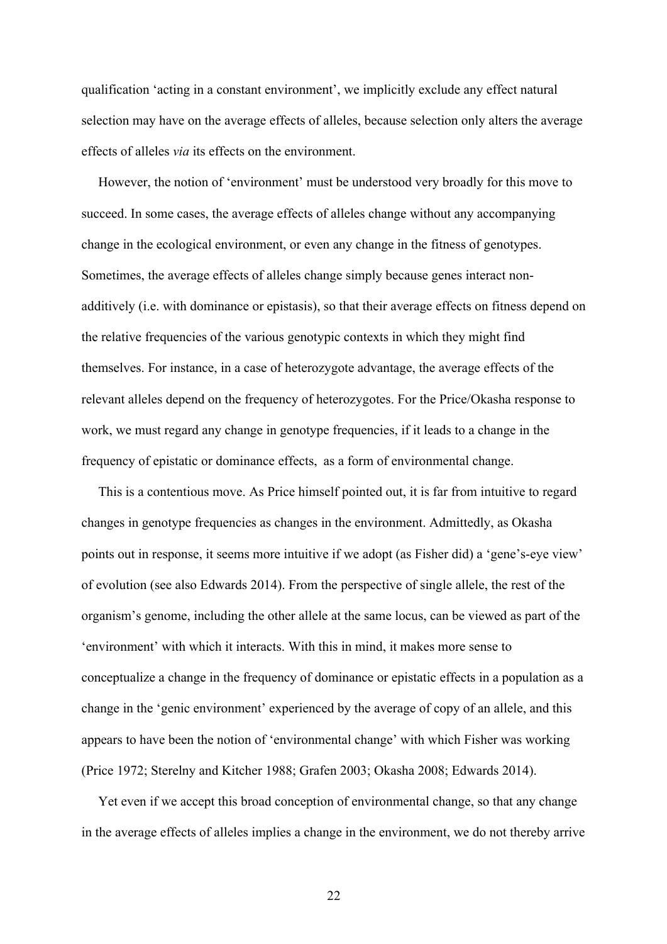qualification 'acting in a constant environment', we implicitly exclude any effect natural selection may have on the average effects of alleles, because selection only alters the average effects of alleles *via* its effects on the environment.

However, the notion of 'environment' must be understood very broadly for this move to succeed. In some cases, the average effects of alleles change without any accompanying change in the ecological environment, or even any change in the fitness of genotypes. Sometimes, the average effects of alleles change simply because genes interact nonadditively (i.e. with dominance or epistasis), so that their average effects on fitness depend on the relative frequencies of the various genotypic contexts in which they might find themselves. For instance, in a case of heterozygote advantage, the average effects of the relevant alleles depend on the frequency of heterozygotes. For the Price/Okasha response to work, we must regard any change in genotype frequencies, if it leads to a change in the frequency of epistatic or dominance effects, as a form of environmental change.

This is a contentious move. As Price himself pointed out, it is far from intuitive to regard changes in genotype frequencies as changes in the environment. Admittedly, as Okasha points out in response, it seems more intuitive if we adopt (as Fisher did) a 'gene's-eye view' of evolution (see also Edwards 2014). From the perspective of single allele, the rest of the organism's genome, including the other allele at the same locus, can be viewed as part of the 'environment' with which it interacts. With this in mind, it makes more sense to conceptualize a change in the frequency of dominance or epistatic effects in a population as a change in the 'genic environment' experienced by the average of copy of an allele, and this appears to have been the notion of 'environmental change' with which Fisher was working (Price 1972; Sterelny and Kitcher 1988; Grafen 2003; Okasha 2008; Edwards 2014).

Yet even if we accept this broad conception of environmental change, so that any change in the average effects of alleles implies a change in the environment, we do not thereby arrive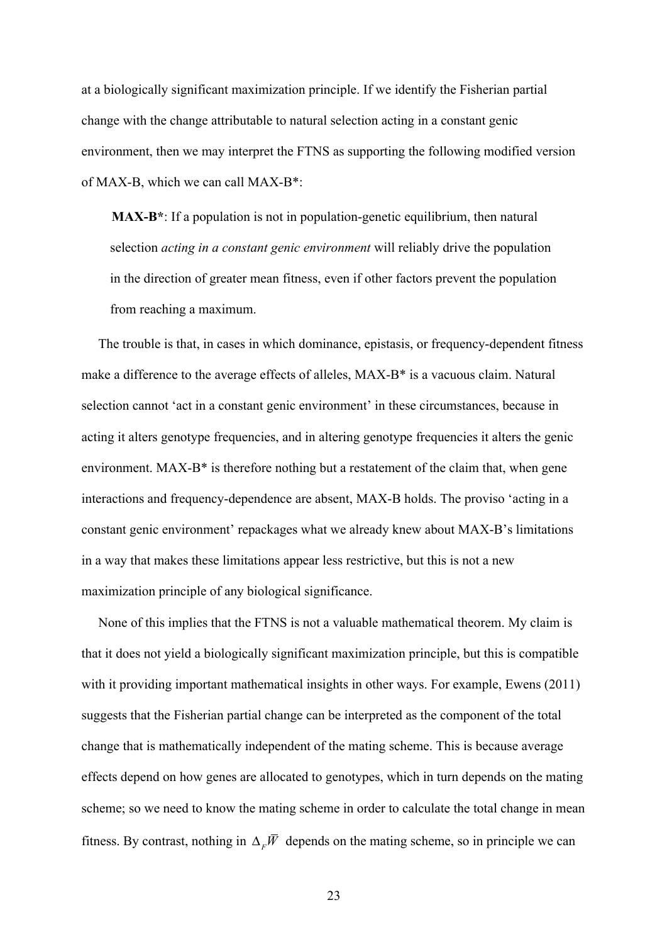at a biologically significant maximization principle. If we identify the Fisherian partial change with the change attributable to natural selection acting in a constant genic environment, then we may interpret the FTNS as supporting the following modified version of MAX-B, which we can call MAX-B\*:

**MAX-B\***: If a population is not in population-genetic equilibrium, then natural selection *acting in a constant genic environment* will reliably drive the population in the direction of greater mean fitness, even if other factors prevent the population from reaching a maximum.

The trouble is that, in cases in which dominance, epistasis, or frequency-dependent fitness make a difference to the average effects of alleles, MAX-B\* is a vacuous claim. Natural selection cannot 'act in a constant genic environment' in these circumstances, because in acting it alters genotype frequencies, and in altering genotype frequencies it alters the genic environment. MAX-B<sup>\*</sup> is therefore nothing but a restatement of the claim that, when gene interactions and frequency-dependence are absent, MAX-B holds. The proviso 'acting in a constant genic environment' repackages what we already knew about MAX-B's limitations in a way that makes these limitations appear less restrictive, but this is not a new maximization principle of any biological significance.

None of this implies that the FTNS is not a valuable mathematical theorem. My claim is that it does not yield a biologically significant maximization principle, but this is compatible with it providing important mathematical insights in other ways. For example, Ewens (2011) suggests that the Fisherian partial change can be interpreted as the component of the total change that is mathematically independent of the mating scheme. This is because average effects depend on how genes are allocated to genotypes, which in turn depends on the mating scheme; so we need to know the mating scheme in order to calculate the total change in mean fitness. By contrast, nothing in  $\Delta F \overline{W}$  depends on the mating scheme, so in principle we can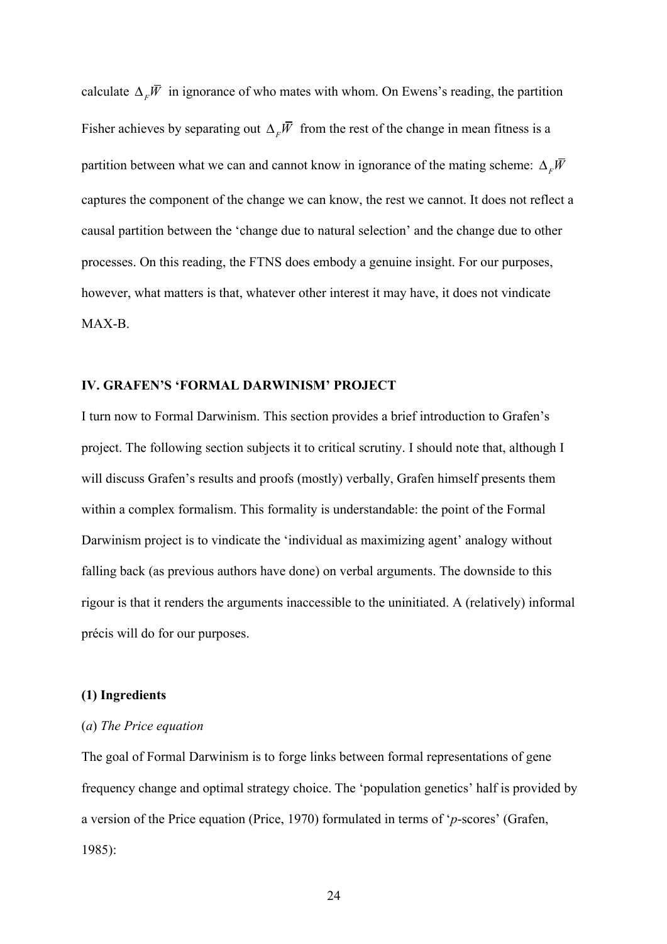calculate  $\Delta_F \overline{W}$  in ignorance of who mates with whom. On Ewens's reading, the partition Fisher achieves by separating out  $\Delta_F \overline{W}$  from the rest of the change in mean fitness is a partition between what we can and cannot know in ignorance of the mating scheme:  $\Delta_F \overline{W}$ captures the component of the change we can know, the rest we cannot. It does not reflect a causal partition between the 'change due to natural selection' and the change due to other processes. On this reading, the FTNS does embody a genuine insight. For our purposes, however, what matters is that, whatever other interest it may have, it does not vindicate MAX-B.

#### **IV. GRAFEN'S 'FORMAL DARWINISM' PROJECT**

I turn now to Formal Darwinism. This section provides a brief introduction to Grafen's project. The following section subjects it to critical scrutiny. I should note that, although I will discuss Grafen's results and proofs (mostly) verbally, Grafen himself presents them within a complex formalism. This formality is understandable: the point of the Formal Darwinism project is to vindicate the 'individual as maximizing agent' analogy without falling back (as previous authors have done) on verbal arguments. The downside to this rigour is that it renders the arguments inaccessible to the uninitiated. A (relatively) informal précis will do for our purposes.

#### **(1) Ingredients**

#### (*a*) *The Price equation*

The goal of Formal Darwinism is to forge links between formal representations of gene frequency change and optimal strategy choice. The 'population genetics' half is provided by a version of the Price equation (Price, 1970) formulated in terms of '*p*-scores' (Grafen, 1985):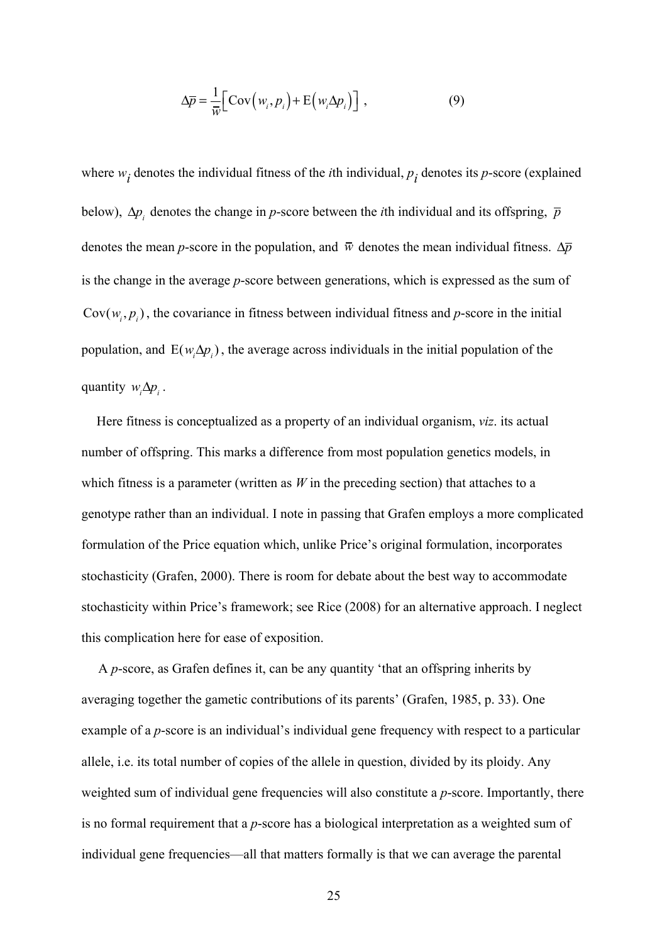$$
\Delta \overline{p} = \frac{1}{\overline{w}} \Big[ \text{Cov}\Big(w_i, p_i\Big) + \text{E}\Big(w_i \Delta p_i\Big) \Big] \,, \tag{9}
$$

where  $w_i$  denotes the individual fitness of the *i*th individual,  $p_i$  denotes its *p*-score (explained below),  $\Delta p_i$  denotes the change in *p*-score between the *i*th individual and its offspring,  $\bar{p}$ denotes the mean *p*-score in the population, and  $\overline{w}$  denotes the mean individual fitness.  $\Delta \overline{p}$ is the change in the average *p*-score between generations, which is expressed as the sum of  $Cov(w_i, p_i)$ , the covariance in fitness between individual fitness and *p*-score in the initial population, and  $E(w_i \Delta p_i)$ , the average across individuals in the initial population of the quantity  $w_i \Delta p_i$ .

Here fitness is conceptualized as a property of an individual organism, *viz*. its actual number of offspring. This marks a difference from most population genetics models, in which fitness is a parameter (written as *W* in the preceding section) that attaches to a genotype rather than an individual. I note in passing that Grafen employs a more complicated formulation of the Price equation which, unlike Price's original formulation, incorporates stochasticity (Grafen, 2000). There is room for debate about the best way to accommodate stochasticity within Price's framework; see Rice (2008) for an alternative approach. I neglect this complication here for ease of exposition.

A *p*-score, as Grafen defines it, can be any quantity 'that an offspring inherits by averaging together the gametic contributions of its parents' (Grafen, 1985, p. 33). One example of a *p*-score is an individual's individual gene frequency with respect to a particular allele, i.e. its total number of copies of the allele in question, divided by its ploidy. Any weighted sum of individual gene frequencies will also constitute a *p*-score. Importantly, there is no formal requirement that a *p*-score has a biological interpretation as a weighted sum of individual gene frequencies—all that matters formally is that we can average the parental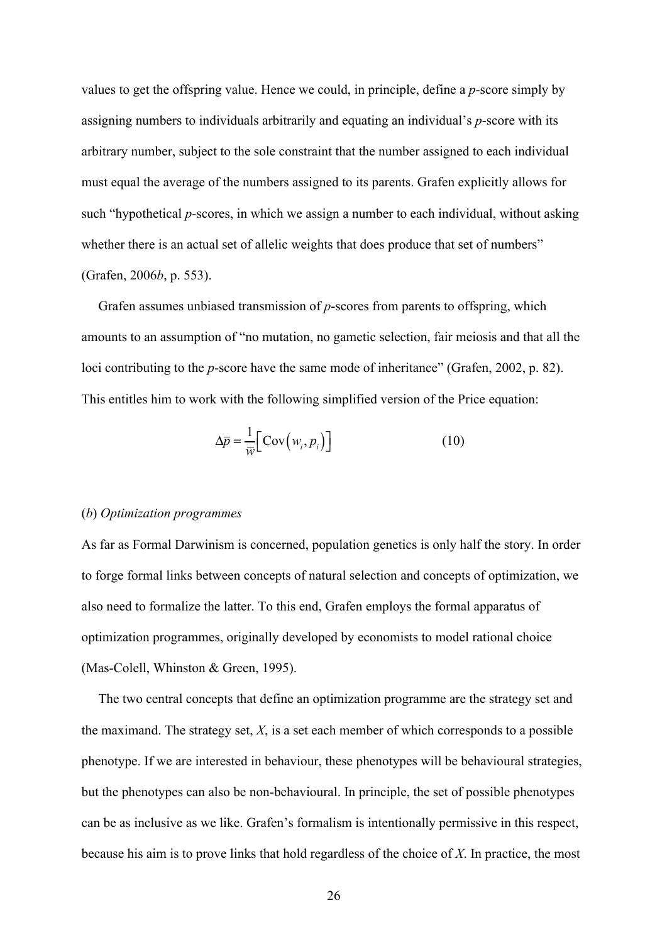values to get the offspring value. Hence we could, in principle, define a *p*-score simply by assigning numbers to individuals arbitrarily and equating an individual's *p*-score with its arbitrary number, subject to the sole constraint that the number assigned to each individual must equal the average of the numbers assigned to its parents. Grafen explicitly allows for such "hypothetical *p*-scores, in which we assign a number to each individual, without asking whether there is an actual set of allelic weights that does produce that set of numbers" (Grafen, 2006*b*, p. 553).

Grafen assumes unbiased transmission of *p*-scores from parents to offspring, which amounts to an assumption of "no mutation, no gametic selection, fair meiosis and that all the loci contributing to the *p*-score have the same mode of inheritance" (Grafen, 2002, p. 82). This entitles him to work with the following simplified version of the Price equation:

$$
\Delta \overline{p} = \frac{1}{\overline{w}} \Big[ \text{Cov}\Big( w_i, p_i \Big) \Big] \tag{10}
$$

#### (*b*) *Optimization programmes*

As far as Formal Darwinism is concerned, population genetics is only half the story. In order to forge formal links between concepts of natural selection and concepts of optimization, we also need to formalize the latter. To this end, Grafen employs the formal apparatus of optimization programmes, originally developed by economists to model rational choice (Mas-Colell, Whinston & Green, 1995).

The two central concepts that define an optimization programme are the strategy set and the maximand. The strategy set, *X*, is a set each member of which corresponds to a possible phenotype. If we are interested in behaviour, these phenotypes will be behavioural strategies, but the phenotypes can also be non-behavioural. In principle, the set of possible phenotypes can be as inclusive as we like. Grafen's formalism is intentionally permissive in this respect, because his aim is to prove links that hold regardless of the choice of *X*. In practice, the most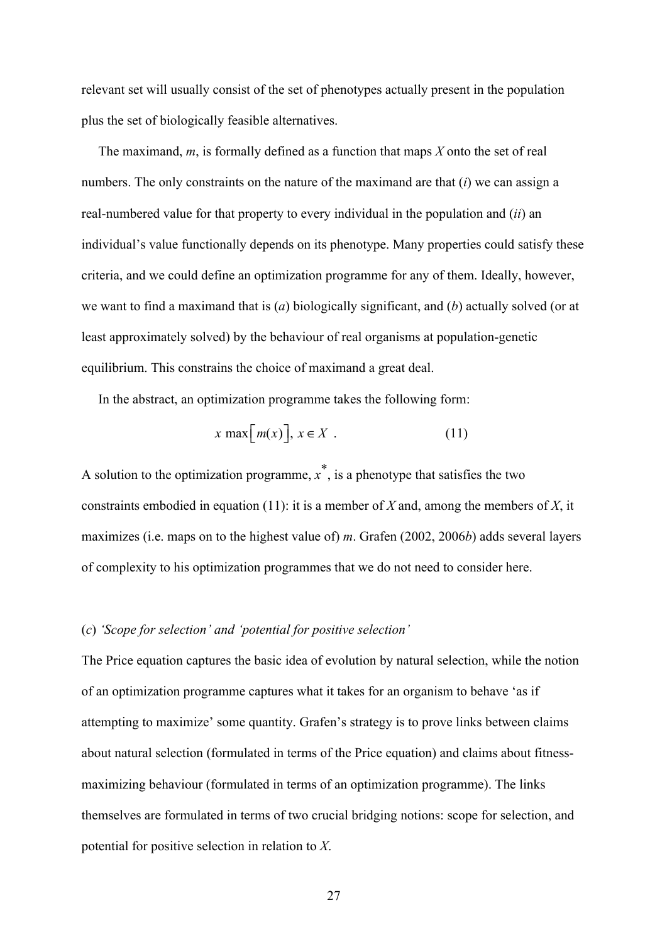relevant set will usually consist of the set of phenotypes actually present in the population plus the set of biologically feasible alternatives.

The maximand, *m*, is formally defined as a function that maps *X* onto the set of real numbers. The only constraints on the nature of the maximand are that (*i*) we can assign a real-numbered value for that property to every individual in the population and (*ii*) an individual's value functionally depends on its phenotype. Many properties could satisfy these criteria, and we could define an optimization programme for any of them. Ideally, however, we want to find a maximand that is (*a*) biologically significant, and (*b*) actually solved (or at least approximately solved) by the behaviour of real organisms at population-genetic equilibrium. This constrains the choice of maximand a great deal.

In the abstract, an optimization programme takes the following form:

$$
x \max[m(x)], x \in X . \tag{11}
$$

A solution to the optimization programme,  $\vec{x}^*$ , is a phenotype that satisfies the two constraints embodied in equation (11): it is a member of *X* and, among the members of *X*, it maximizes (i.e. maps on to the highest value of) *m*. Grafen (2002, 2006*b*) adds several layers of complexity to his optimization programmes that we do not need to consider here.

#### (*c*) *'Scope for selection' and 'potential for positive selection'*

The Price equation captures the basic idea of evolution by natural selection, while the notion of an optimization programme captures what it takes for an organism to behave 'as if attempting to maximize' some quantity. Grafen's strategy is to prove links between claims about natural selection (formulated in terms of the Price equation) and claims about fitnessmaximizing behaviour (formulated in terms of an optimization programme). The links themselves are formulated in terms of two crucial bridging notions: scope for selection, and potential for positive selection in relation to *X*.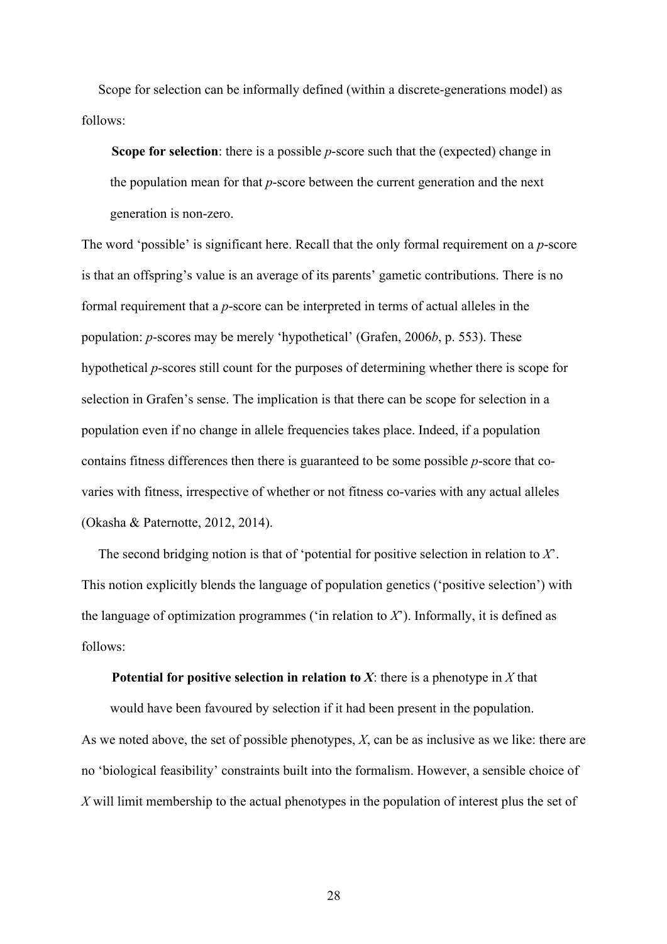Scope for selection can be informally defined (within a discrete-generations model) as follows:

**Scope for selection**: there is a possible *p*-score such that the (expected) change in the population mean for that *p*-score between the current generation and the next generation is non-zero.

The word 'possible' is significant here. Recall that the only formal requirement on a *p*-score is that an offspring's value is an average of its parents' gametic contributions. There is no formal requirement that a *p*-score can be interpreted in terms of actual alleles in the population: *p*-scores may be merely 'hypothetical' (Grafen, 2006*b*, p. 553). These hypothetical *p*-scores still count for the purposes of determining whether there is scope for selection in Grafen's sense. The implication is that there can be scope for selection in a population even if no change in allele frequencies takes place. Indeed, if a population contains fitness differences then there is guaranteed to be some possible *p*-score that covaries with fitness, irrespective of whether or not fitness co-varies with any actual alleles (Okasha & Paternotte, 2012, 2014).

The second bridging notion is that of 'potential for positive selection in relation to *X*'. This notion explicitly blends the language of population genetics ('positive selection') with the language of optimization programmes ('in relation to *X*'). Informally, it is defined as follows:

**Potential for positive selection in relation to**  $X$ **:** there is a phenotype in  $X$  that

would have been favoured by selection if it had been present in the population. As we noted above, the set of possible phenotypes, *X*, can be as inclusive as we like: there are no 'biological feasibility' constraints built into the formalism. However, a sensible choice of *X* will limit membership to the actual phenotypes in the population of interest plus the set of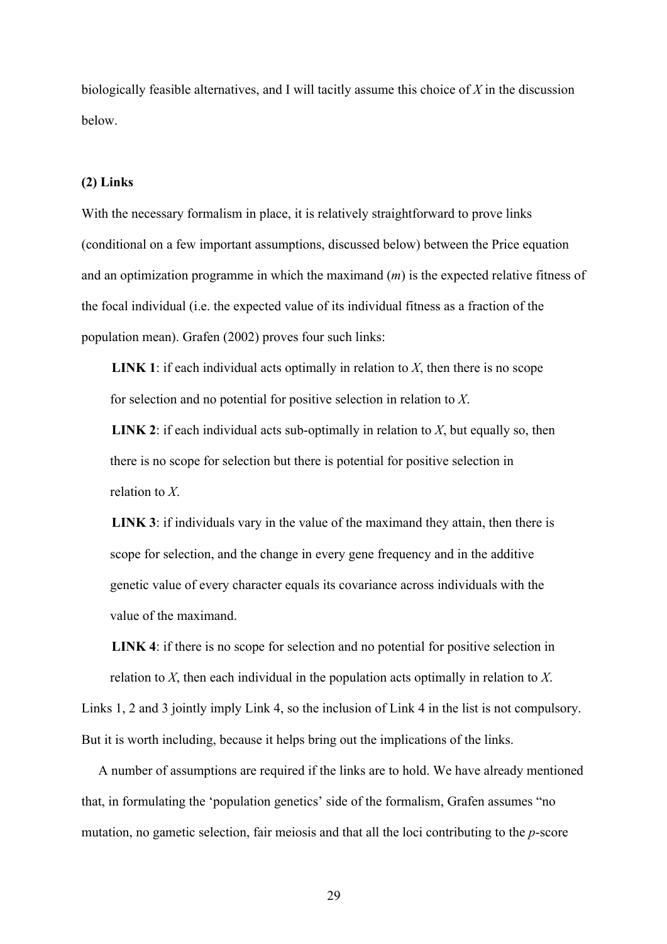biologically feasible alternatives, and I will tacitly assume this choice of *X* in the discussion below.

#### **(2) Links**

With the necessary formalism in place, it is relatively straightforward to prove links (conditional on a few important assumptions, discussed below) between the Price equation and an optimization programme in which the maximand (*m*) is the expected relative fitness of the focal individual (i.e. the expected value of its individual fitness as a fraction of the population mean). Grafen (2002) proves four such links:

**LINK 1**: if each individual acts optimally in relation to  $X$ , then there is no scope for selection and no potential for positive selection in relation to *X*.

**LINK 2**: if each individual acts sub-optimally in relation to *X*, but equally so, then there is no scope for selection but there is potential for positive selection in relation to *X*.

**LINK 3**: if individuals vary in the value of the maximand they attain, then there is scope for selection, and the change in every gene frequency and in the additive genetic value of every character equals its covariance across individuals with the value of the maximand.

**LINK 4**: if there is no scope for selection and no potential for positive selection in relation to *X*, then each individual in the population acts optimally in relation to *X*.

Links 1, 2 and 3 jointly imply Link 4, so the inclusion of Link 4 in the list is not compulsory.

But it is worth including, because it helps bring out the implications of the links.

A number of assumptions are required if the links are to hold. We have already mentioned that, in formulating the 'population genetics' side of the formalism, Grafen assumes "no mutation, no gametic selection, fair meiosis and that all the loci contributing to the *p*-score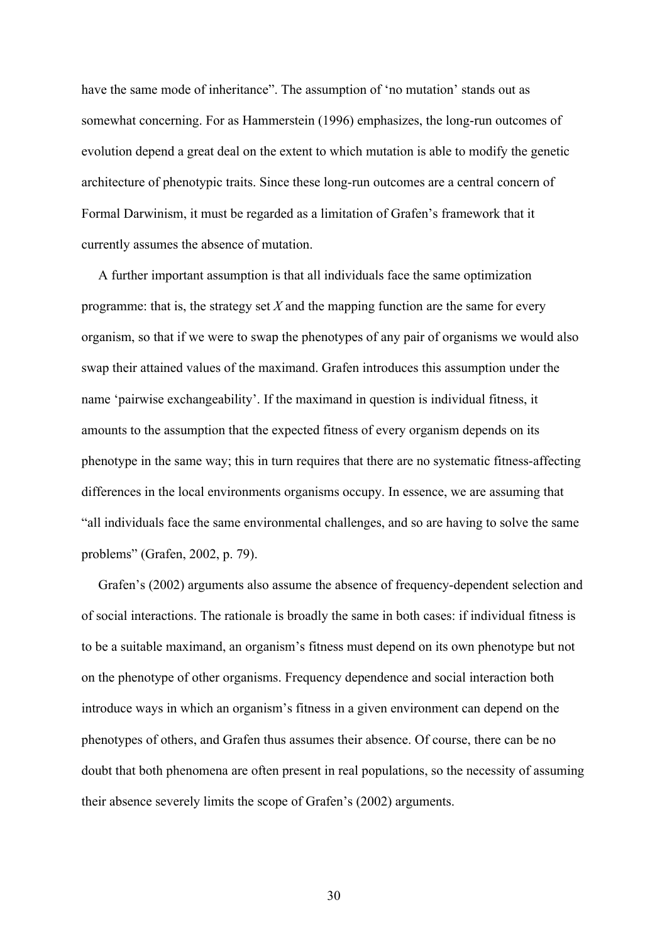have the same mode of inheritance". The assumption of 'no mutation' stands out as somewhat concerning. For as Hammerstein (1996) emphasizes, the long-run outcomes of evolution depend a great deal on the extent to which mutation is able to modify the genetic architecture of phenotypic traits. Since these long-run outcomes are a central concern of Formal Darwinism, it must be regarded as a limitation of Grafen's framework that it currently assumes the absence of mutation.

A further important assumption is that all individuals face the same optimization programme: that is, the strategy set *X* and the mapping function are the same for every organism, so that if we were to swap the phenotypes of any pair of organisms we would also swap their attained values of the maximand. Grafen introduces this assumption under the name 'pairwise exchangeability'. If the maximand in question is individual fitness, it amounts to the assumption that the expected fitness of every organism depends on its phenotype in the same way; this in turn requires that there are no systematic fitness-affecting differences in the local environments organisms occupy. In essence, we are assuming that "all individuals face the same environmental challenges, and so are having to solve the same problems" (Grafen, 2002, p. 79).

Grafen's (2002) arguments also assume the absence of frequency-dependent selection and of social interactions. The rationale is broadly the same in both cases: if individual fitness is to be a suitable maximand, an organism's fitness must depend on its own phenotype but not on the phenotype of other organisms. Frequency dependence and social interaction both introduce ways in which an organism's fitness in a given environment can depend on the phenotypes of others, and Grafen thus assumes their absence. Of course, there can be no doubt that both phenomena are often present in real populations, so the necessity of assuming their absence severely limits the scope of Grafen's (2002) arguments.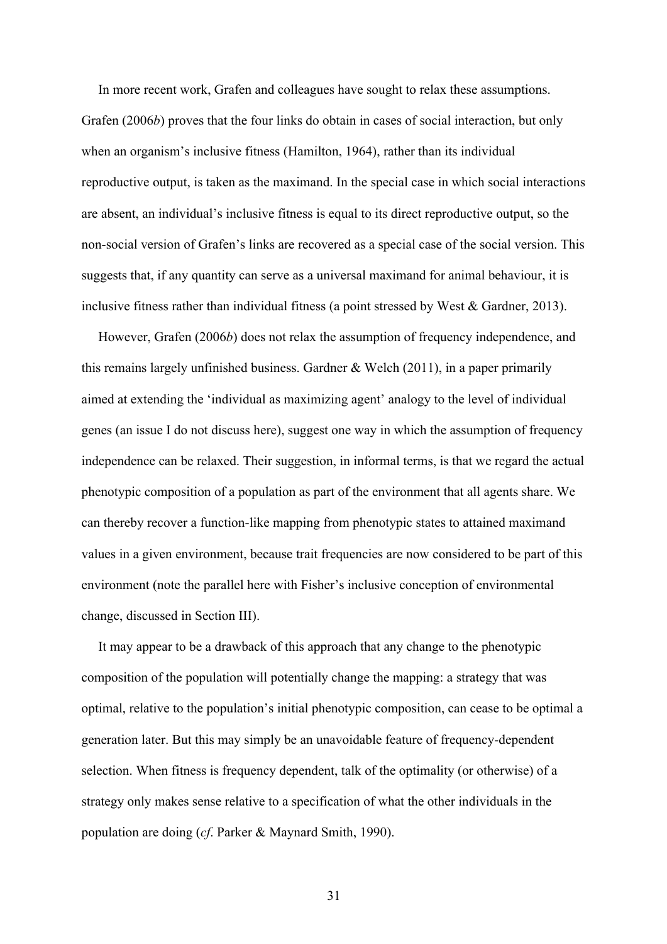In more recent work, Grafen and colleagues have sought to relax these assumptions. Grafen (2006*b*) proves that the four links do obtain in cases of social interaction, but only when an organism's inclusive fitness (Hamilton, 1964), rather than its individual reproductive output, is taken as the maximand. In the special case in which social interactions are absent, an individual's inclusive fitness is equal to its direct reproductive output, so the non-social version of Grafen's links are recovered as a special case of the social version. This suggests that, if any quantity can serve as a universal maximand for animal behaviour, it is inclusive fitness rather than individual fitness (a point stressed by West & Gardner, 2013).

However, Grafen (2006*b*) does not relax the assumption of frequency independence, and this remains largely unfinished business. Gardner & Welch (2011), in a paper primarily aimed at extending the 'individual as maximizing agent' analogy to the level of individual genes (an issue I do not discuss here), suggest one way in which the assumption of frequency independence can be relaxed. Their suggestion, in informal terms, is that we regard the actual phenotypic composition of a population as part of the environment that all agents share. We can thereby recover a function-like mapping from phenotypic states to attained maximand values in a given environment, because trait frequencies are now considered to be part of this environment (note the parallel here with Fisher's inclusive conception of environmental change, discussed in Section III).

It may appear to be a drawback of this approach that any change to the phenotypic composition of the population will potentially change the mapping: a strategy that was optimal, relative to the population's initial phenotypic composition, can cease to be optimal a generation later. But this may simply be an unavoidable feature of frequency-dependent selection. When fitness is frequency dependent, talk of the optimality (or otherwise) of a strategy only makes sense relative to a specification of what the other individuals in the population are doing (*cf*. Parker & Maynard Smith, 1990).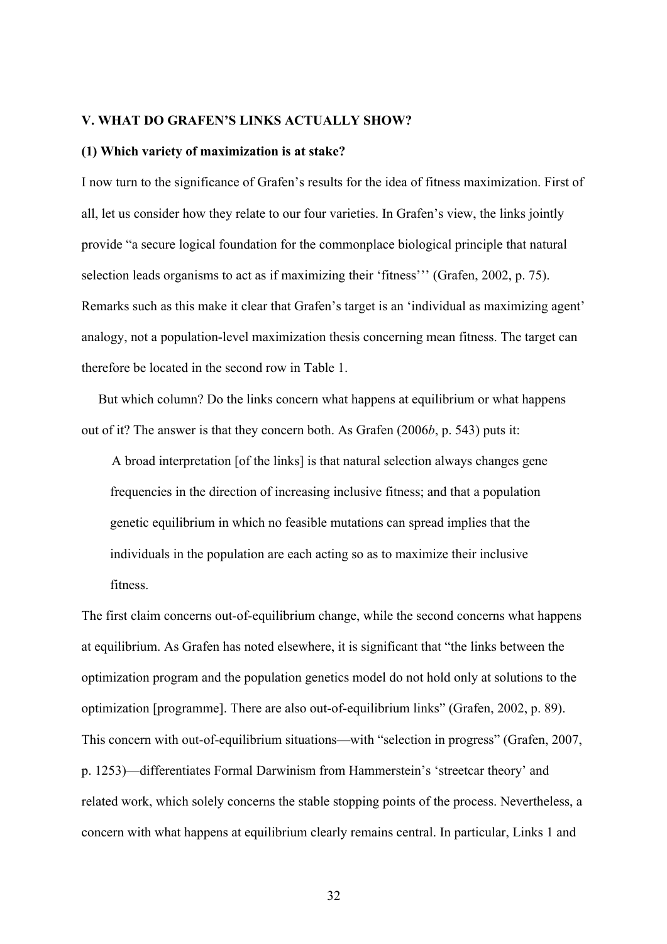#### **V. WHAT DO GRAFEN'S LINKS ACTUALLY SHOW?**

#### **(1) Which variety of maximization is at stake?**

I now turn to the significance of Grafen's results for the idea of fitness maximization. First of all, let us consider how they relate to our four varieties. In Grafen's view, the links jointly provide "a secure logical foundation for the commonplace biological principle that natural selection leads organisms to act as if maximizing their 'fitness''' (Grafen, 2002, p. 75). Remarks such as this make it clear that Grafen's target is an 'individual as maximizing agent' analogy, not a population-level maximization thesis concerning mean fitness. The target can therefore be located in the second row in Table 1.

But which column? Do the links concern what happens at equilibrium or what happens out of it? The answer is that they concern both. As Grafen (2006*b*, p. 543) puts it:

A broad interpretation [of the links] is that natural selection always changes gene frequencies in the direction of increasing inclusive fitness; and that a population genetic equilibrium in which no feasible mutations can spread implies that the individuals in the population are each acting so as to maximize their inclusive fitness.

The first claim concerns out-of-equilibrium change, while the second concerns what happens at equilibrium. As Grafen has noted elsewhere, it is significant that "the links between the optimization program and the population genetics model do not hold only at solutions to the optimization [programme]. There are also out-of-equilibrium links" (Grafen, 2002, p. 89). This concern with out-of-equilibrium situations—with "selection in progress" (Grafen, 2007, p. 1253)—differentiates Formal Darwinism from Hammerstein's 'streetcar theory' and related work, which solely concerns the stable stopping points of the process. Nevertheless, a concern with what happens at equilibrium clearly remains central. In particular, Links 1 and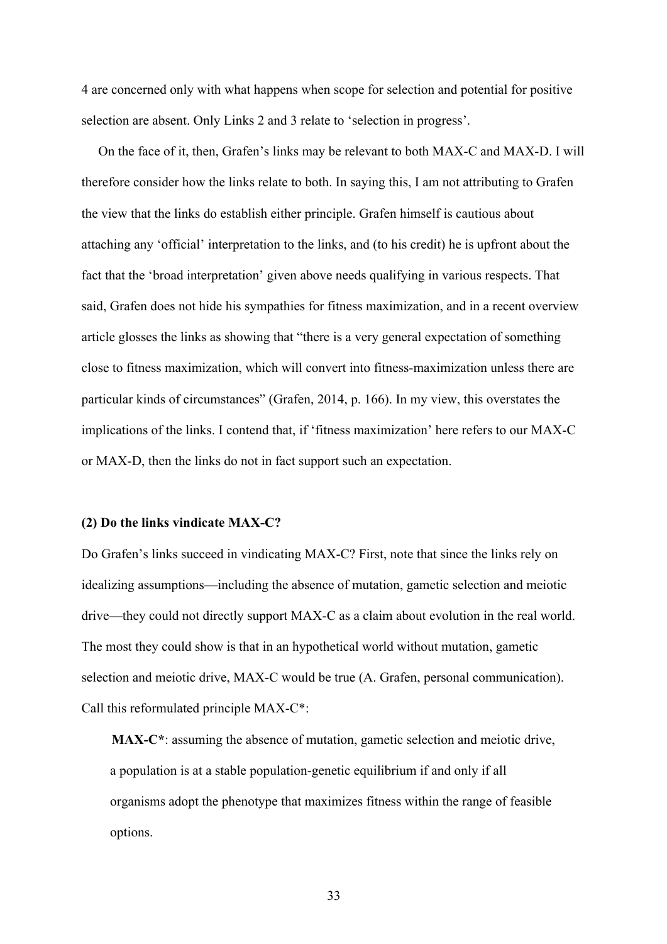4 are concerned only with what happens when scope for selection and potential for positive selection are absent. Only Links 2 and 3 relate to 'selection in progress'.

On the face of it, then, Grafen's links may be relevant to both MAX-C and MAX-D. I will therefore consider how the links relate to both. In saying this, I am not attributing to Grafen the view that the links do establish either principle. Grafen himself is cautious about attaching any 'official' interpretation to the links, and (to his credit) he is upfront about the fact that the 'broad interpretation' given above needs qualifying in various respects. That said, Grafen does not hide his sympathies for fitness maximization, and in a recent overview article glosses the links as showing that "there is a very general expectation of something close to fitness maximization, which will convert into fitness-maximization unless there are particular kinds of circumstances" (Grafen, 2014, p. 166). In my view, this overstates the implications of the links. I contend that, if 'fitness maximization' here refers to our MAX-C or MAX-D, then the links do not in fact support such an expectation.

#### **(2) Do the links vindicate MAX-C?**

Do Grafen's links succeed in vindicating MAX-C? First, note that since the links rely on idealizing assumptions—including the absence of mutation, gametic selection and meiotic drive—they could not directly support MAX-C as a claim about evolution in the real world. The most they could show is that in an hypothetical world without mutation, gametic selection and meiotic drive, MAX-C would be true (A. Grafen, personal communication). Call this reformulated principle MAX-C\*:

**MAX-C\***: assuming the absence of mutation, gametic selection and meiotic drive, a population is at a stable population-genetic equilibrium if and only if all organisms adopt the phenotype that maximizes fitness within the range of feasible options.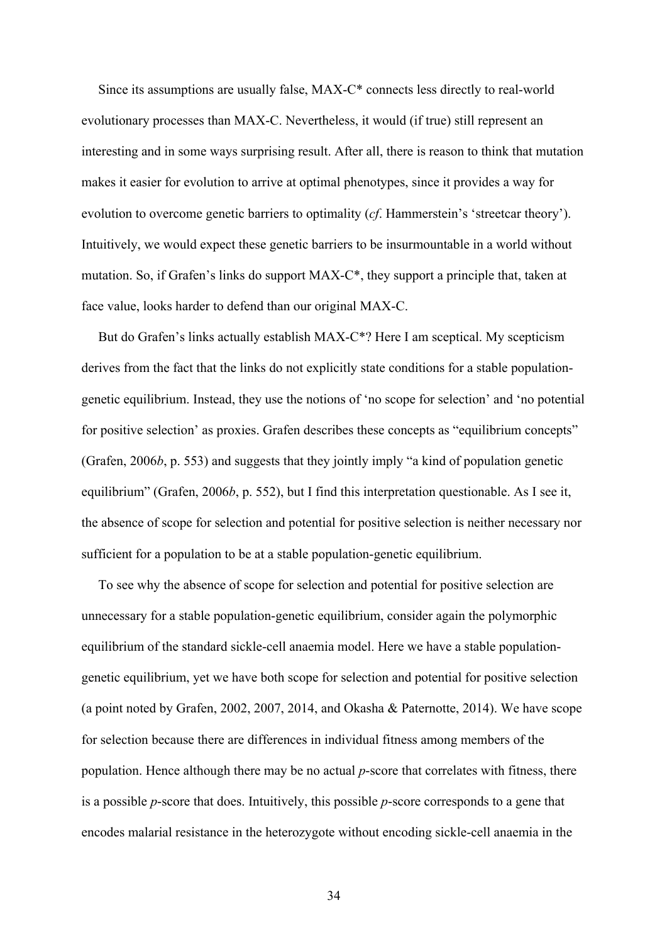Since its assumptions are usually false, MAX-C\* connects less directly to real-world evolutionary processes than MAX-C. Nevertheless, it would (if true) still represent an interesting and in some ways surprising result. After all, there is reason to think that mutation makes it easier for evolution to arrive at optimal phenotypes, since it provides a way for evolution to overcome genetic barriers to optimality (*cf*. Hammerstein's 'streetcar theory'). Intuitively, we would expect these genetic barriers to be insurmountable in a world without mutation. So, if Grafen's links do support MAX-C\*, they support a principle that, taken at face value, looks harder to defend than our original MAX-C.

But do Grafen's links actually establish MAX-C\*? Here I am sceptical. My scepticism derives from the fact that the links do not explicitly state conditions for a stable populationgenetic equilibrium. Instead, they use the notions of 'no scope for selection' and 'no potential for positive selection' as proxies. Grafen describes these concepts as "equilibrium concepts" (Grafen, 2006*b*, p. 553) and suggests that they jointly imply "a kind of population genetic equilibrium" (Grafen, 2006*b*, p. 552), but I find this interpretation questionable. As I see it, the absence of scope for selection and potential for positive selection is neither necessary nor sufficient for a population to be at a stable population-genetic equilibrium.

To see why the absence of scope for selection and potential for positive selection are unnecessary for a stable population-genetic equilibrium, consider again the polymorphic equilibrium of the standard sickle-cell anaemia model. Here we have a stable populationgenetic equilibrium, yet we have both scope for selection and potential for positive selection (a point noted by Grafen, 2002, 2007, 2014, and Okasha & Paternotte, 2014). We have scope for selection because there are differences in individual fitness among members of the population. Hence although there may be no actual *p*-score that correlates with fitness, there is a possible *p*-score that does. Intuitively, this possible *p*-score corresponds to a gene that encodes malarial resistance in the heterozygote without encoding sickle-cell anaemia in the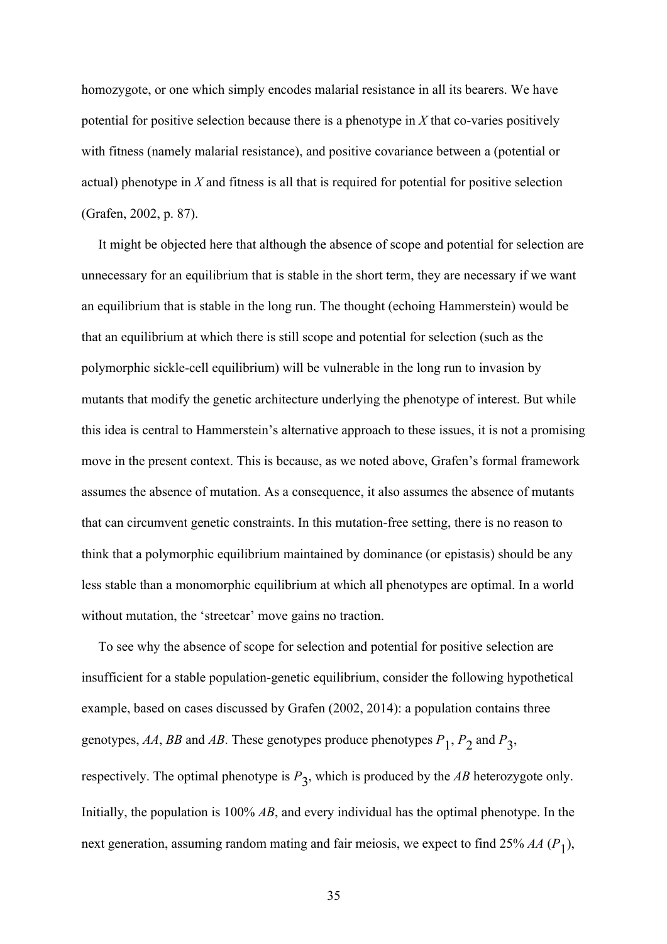homozygote, or one which simply encodes malarial resistance in all its bearers. We have potential for positive selection because there is a phenotype in *X* that co-varies positively with fitness (namely malarial resistance), and positive covariance between a (potential or actual) phenotype in *X* and fitness is all that is required for potential for positive selection (Grafen, 2002, p. 87).

It might be objected here that although the absence of scope and potential for selection are unnecessary for an equilibrium that is stable in the short term, they are necessary if we want an equilibrium that is stable in the long run. The thought (echoing Hammerstein) would be that an equilibrium at which there is still scope and potential for selection (such as the polymorphic sickle-cell equilibrium) will be vulnerable in the long run to invasion by mutants that modify the genetic architecture underlying the phenotype of interest. But while this idea is central to Hammerstein's alternative approach to these issues, it is not a promising move in the present context. This is because, as we noted above, Grafen's formal framework assumes the absence of mutation. As a consequence, it also assumes the absence of mutants that can circumvent genetic constraints. In this mutation-free setting, there is no reason to think that a polymorphic equilibrium maintained by dominance (or epistasis) should be any less stable than a monomorphic equilibrium at which all phenotypes are optimal. In a world without mutation, the 'streetcar' move gains no traction.

To see why the absence of scope for selection and potential for positive selection are insufficient for a stable population-genetic equilibrium, consider the following hypothetical example, based on cases discussed by Grafen (2002, 2014): a population contains three genotypes, AA, BB and AB. These genotypes produce phenotypes  $P_1$ ,  $P_2$  and  $P_3$ , respectively. The optimal phenotype is  $P_3$ , which is produced by the *AB* heterozygote only. Initially, the population is 100% *AB*, and every individual has the optimal phenotype. In the next generation, assuming random mating and fair meiosis, we expect to find 25%  $AA$  ( $P_1$ ),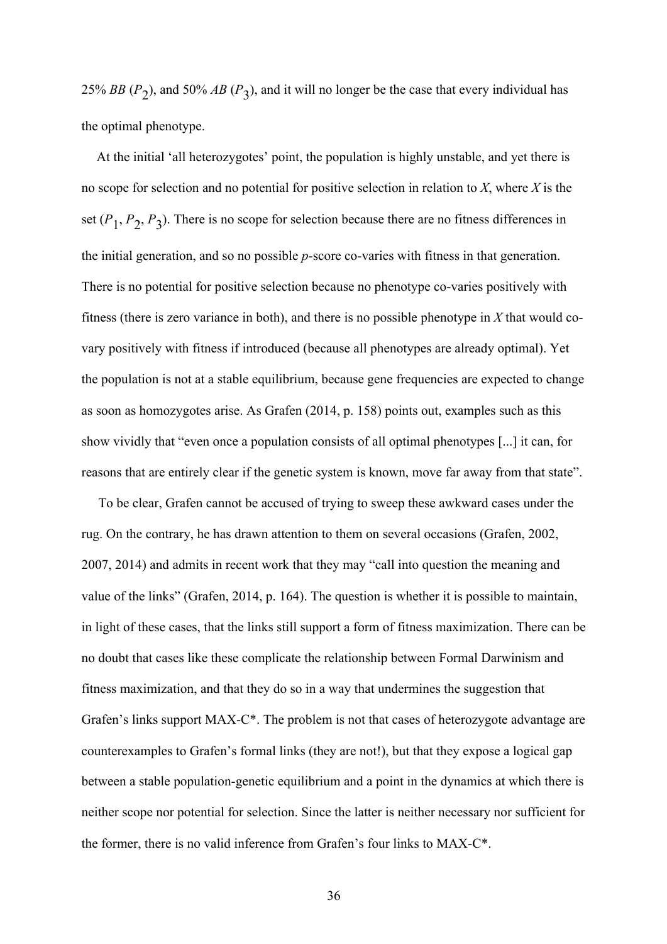25% *BB* ( $P_2$ ), and 50% *AB* ( $P_3$ ), and it will no longer be the case that every individual has the optimal phenotype.

At the initial 'all heterozygotes' point, the population is highly unstable, and yet there is no scope for selection and no potential for positive selection in relation to *X*, where *X* is the set  $(P_1, P_2, P_3)$ . There is no scope for selection because there are no fitness differences in the initial generation, and so no possible *p*-score co-varies with fitness in that generation. There is no potential for positive selection because no phenotype co-varies positively with fitness (there is zero variance in both), and there is no possible phenotype in *X* that would covary positively with fitness if introduced (because all phenotypes are already optimal). Yet the population is not at a stable equilibrium, because gene frequencies are expected to change as soon as homozygotes arise. As Grafen (2014, p. 158) points out, examples such as this show vividly that "even once a population consists of all optimal phenotypes [...] it can, for reasons that are entirely clear if the genetic system is known, move far away from that state".

To be clear, Grafen cannot be accused of trying to sweep these awkward cases under the rug. On the contrary, he has drawn attention to them on several occasions (Grafen, 2002, 2007, 2014) and admits in recent work that they may "call into question the meaning and value of the links" (Grafen, 2014, p. 164). The question is whether it is possible to maintain, in light of these cases, that the links still support a form of fitness maximization. There can be no doubt that cases like these complicate the relationship between Formal Darwinism and fitness maximization, and that they do so in a way that undermines the suggestion that Grafen's links support MAX-C\*. The problem is not that cases of heterozygote advantage are counterexamples to Grafen's formal links (they are not!), but that they expose a logical gap between a stable population-genetic equilibrium and a point in the dynamics at which there is neither scope nor potential for selection. Since the latter is neither necessary nor sufficient for the former, there is no valid inference from Grafen's four links to MAX-C\*.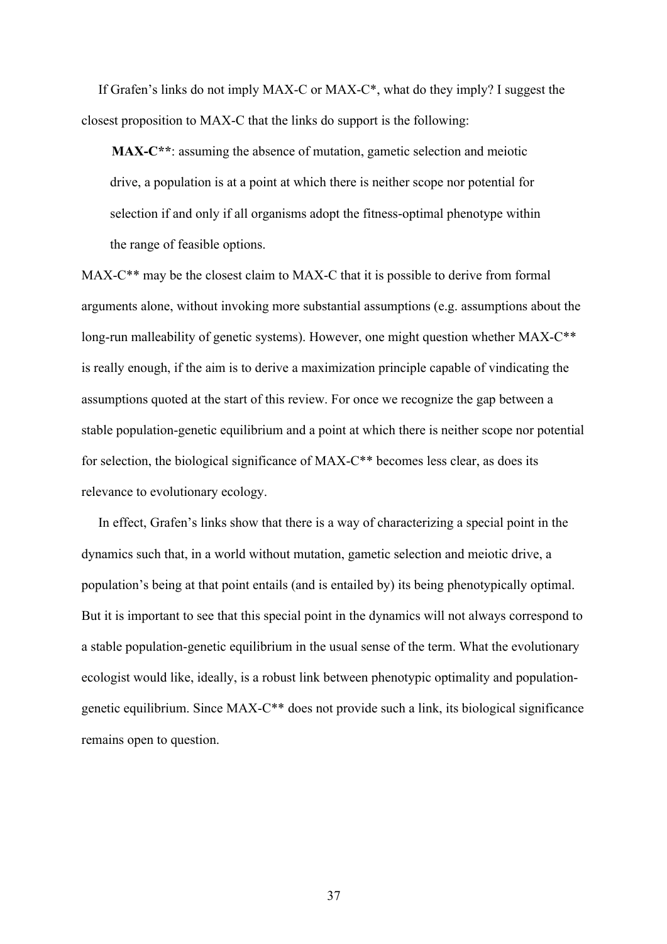If Grafen's links do not imply MAX-C or MAX-C\*, what do they imply? I suggest the closest proposition to MAX-C that the links do support is the following:

**MAX-C\*\***: assuming the absence of mutation, gametic selection and meiotic drive, a population is at a point at which there is neither scope nor potential for selection if and only if all organisms adopt the fitness-optimal phenotype within the range of feasible options.

MAX-C\*\* may be the closest claim to MAX-C that it is possible to derive from formal arguments alone, without invoking more substantial assumptions (e.g. assumptions about the long-run malleability of genetic systems). However, one might question whether MAX-C<sup>\*\*</sup> is really enough, if the aim is to derive a maximization principle capable of vindicating the assumptions quoted at the start of this review. For once we recognize the gap between a stable population-genetic equilibrium and a point at which there is neither scope nor potential for selection, the biological significance of MAX-C\*\* becomes less clear, as does its relevance to evolutionary ecology.

In effect, Grafen's links show that there is a way of characterizing a special point in the dynamics such that, in a world without mutation, gametic selection and meiotic drive, a population's being at that point entails (and is entailed by) its being phenotypically optimal. But it is important to see that this special point in the dynamics will not always correspond to a stable population-genetic equilibrium in the usual sense of the term. What the evolutionary ecologist would like, ideally, is a robust link between phenotypic optimality and populationgenetic equilibrium. Since MAX-C\*\* does not provide such a link, its biological significance remains open to question.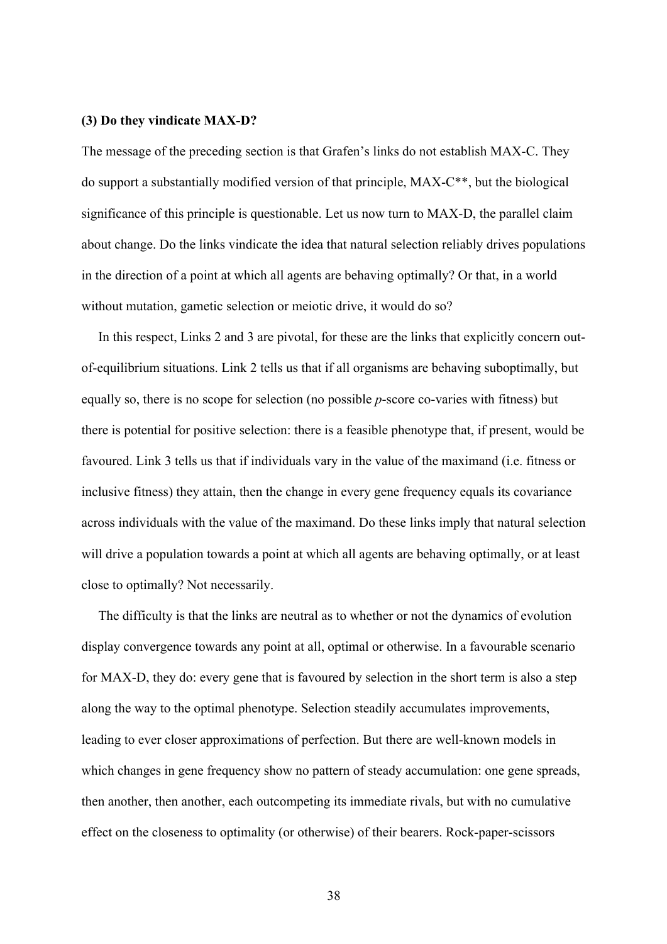#### **(3) Do they vindicate MAX-D?**

The message of the preceding section is that Grafen's links do not establish MAX-C. They do support a substantially modified version of that principle, MAX-C\*\*, but the biological significance of this principle is questionable. Let us now turn to MAX-D, the parallel claim about change. Do the links vindicate the idea that natural selection reliably drives populations in the direction of a point at which all agents are behaving optimally? Or that, in a world without mutation, gametic selection or meiotic drive, it would do so?

In this respect, Links 2 and 3 are pivotal, for these are the links that explicitly concern outof-equilibrium situations. Link 2 tells us that if all organisms are behaving suboptimally, but equally so, there is no scope for selection (no possible *p*-score co-varies with fitness) but there is potential for positive selection: there is a feasible phenotype that, if present, would be favoured. Link 3 tells us that if individuals vary in the value of the maximand (i.e. fitness or inclusive fitness) they attain, then the change in every gene frequency equals its covariance across individuals with the value of the maximand. Do these links imply that natural selection will drive a population towards a point at which all agents are behaving optimally, or at least close to optimally? Not necessarily.

The difficulty is that the links are neutral as to whether or not the dynamics of evolution display convergence towards any point at all, optimal or otherwise. In a favourable scenario for MAX-D, they do: every gene that is favoured by selection in the short term is also a step along the way to the optimal phenotype. Selection steadily accumulates improvements, leading to ever closer approximations of perfection. But there are well-known models in which changes in gene frequency show no pattern of steady accumulation: one gene spreads, then another, then another, each outcompeting its immediate rivals, but with no cumulative effect on the closeness to optimality (or otherwise) of their bearers. Rock-paper-scissors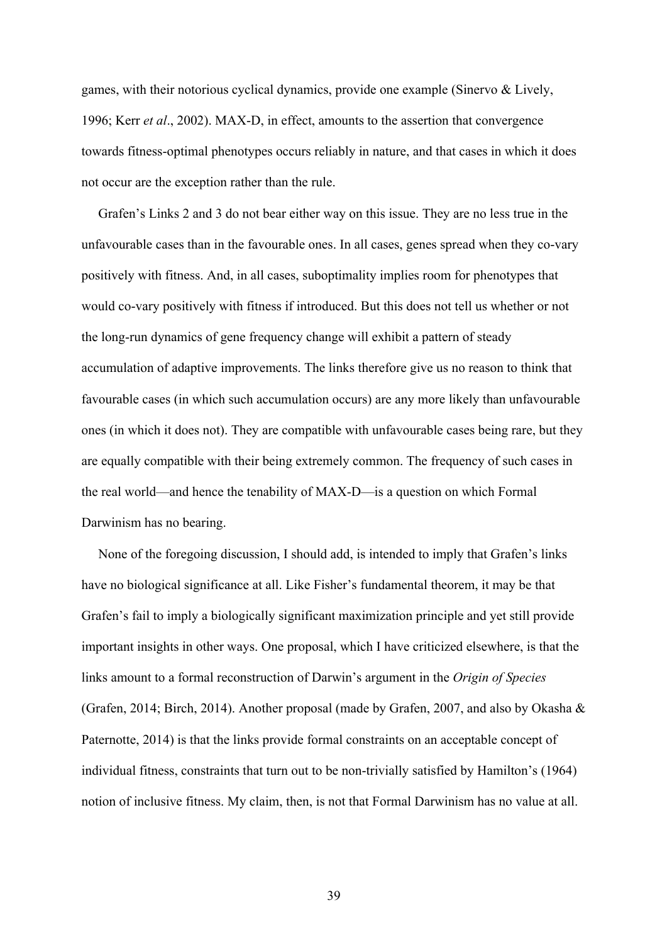games, with their notorious cyclical dynamics, provide one example (Sinervo & Lively, 1996; Kerr *et al*., 2002). MAX-D, in effect, amounts to the assertion that convergence towards fitness-optimal phenotypes occurs reliably in nature, and that cases in which it does not occur are the exception rather than the rule.

Grafen's Links 2 and 3 do not bear either way on this issue. They are no less true in the unfavourable cases than in the favourable ones. In all cases, genes spread when they co-vary positively with fitness. And, in all cases, suboptimality implies room for phenotypes that would co-vary positively with fitness if introduced. But this does not tell us whether or not the long-run dynamics of gene frequency change will exhibit a pattern of steady accumulation of adaptive improvements. The links therefore give us no reason to think that favourable cases (in which such accumulation occurs) are any more likely than unfavourable ones (in which it does not). They are compatible with unfavourable cases being rare, but they are equally compatible with their being extremely common. The frequency of such cases in the real world—and hence the tenability of MAX-D—is a question on which Formal Darwinism has no bearing.

None of the foregoing discussion, I should add, is intended to imply that Grafen's links have no biological significance at all. Like Fisher's fundamental theorem, it may be that Grafen's fail to imply a biologically significant maximization principle and yet still provide important insights in other ways. One proposal, which I have criticized elsewhere, is that the links amount to a formal reconstruction of Darwin's argument in the *Origin of Species* (Grafen, 2014; Birch, 2014). Another proposal (made by Grafen, 2007, and also by Okasha & Paternotte, 2014) is that the links provide formal constraints on an acceptable concept of individual fitness, constraints that turn out to be non-trivially satisfied by Hamilton's (1964) notion of inclusive fitness. My claim, then, is not that Formal Darwinism has no value at all.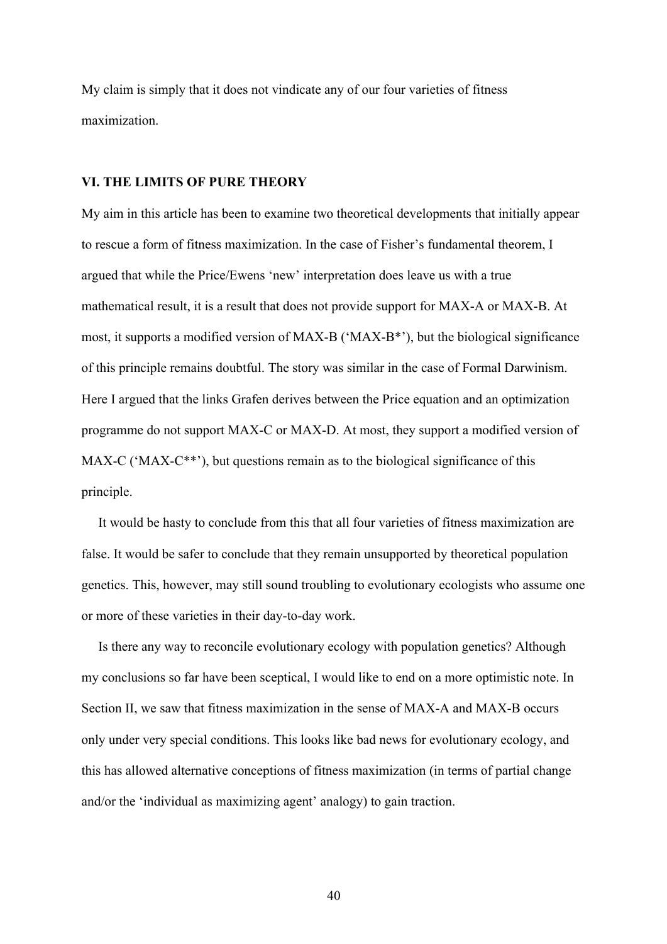My claim is simply that it does not vindicate any of our four varieties of fitness maximization.

#### **VI. THE LIMITS OF PURE THEORY**

My aim in this article has been to examine two theoretical developments that initially appear to rescue a form of fitness maximization. In the case of Fisher's fundamental theorem, I argued that while the Price/Ewens 'new' interpretation does leave us with a true mathematical result, it is a result that does not provide support for MAX-A or MAX-B. At most, it supports a modified version of MAX-B ('MAX-B\*'), but the biological significance of this principle remains doubtful. The story was similar in the case of Formal Darwinism. Here I argued that the links Grafen derives between the Price equation and an optimization programme do not support MAX-C or MAX-D. At most, they support a modified version of MAX-C ('MAX-C<sup>\*\*'</sup>), but questions remain as to the biological significance of this principle.

It would be hasty to conclude from this that all four varieties of fitness maximization are false. It would be safer to conclude that they remain unsupported by theoretical population genetics. This, however, may still sound troubling to evolutionary ecologists who assume one or more of these varieties in their day-to-day work.

Is there any way to reconcile evolutionary ecology with population genetics? Although my conclusions so far have been sceptical, I would like to end on a more optimistic note. In Section II, we saw that fitness maximization in the sense of MAX-A and MAX-B occurs only under very special conditions. This looks like bad news for evolutionary ecology, and this has allowed alternative conceptions of fitness maximization (in terms of partial change and/or the 'individual as maximizing agent' analogy) to gain traction.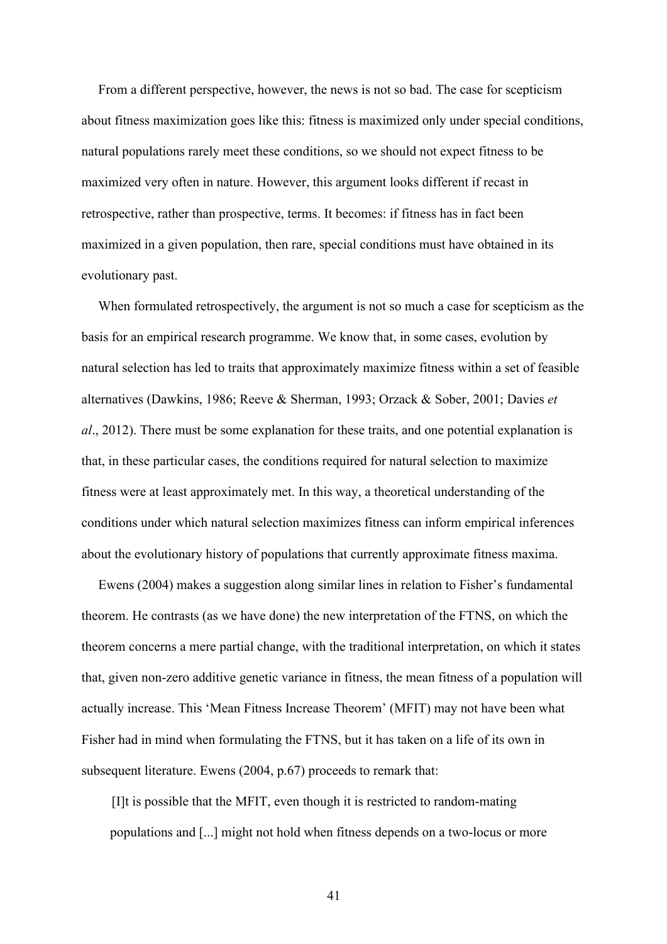From a different perspective, however, the news is not so bad. The case for scepticism about fitness maximization goes like this: fitness is maximized only under special conditions, natural populations rarely meet these conditions, so we should not expect fitness to be maximized very often in nature. However, this argument looks different if recast in retrospective, rather than prospective, terms. It becomes: if fitness has in fact been maximized in a given population, then rare, special conditions must have obtained in its evolutionary past.

When formulated retrospectively, the argument is not so much a case for scepticism as the basis for an empirical research programme. We know that, in some cases, evolution by natural selection has led to traits that approximately maximize fitness within a set of feasible alternatives (Dawkins, 1986; Reeve & Sherman, 1993; Orzack & Sober, 2001; Davies *et al*., 2012). There must be some explanation for these traits, and one potential explanation is that, in these particular cases, the conditions required for natural selection to maximize fitness were at least approximately met. In this way, a theoretical understanding of the conditions under which natural selection maximizes fitness can inform empirical inferences about the evolutionary history of populations that currently approximate fitness maxima.

Ewens (2004) makes a suggestion along similar lines in relation to Fisher's fundamental theorem. He contrasts (as we have done) the new interpretation of the FTNS, on which the theorem concerns a mere partial change, with the traditional interpretation, on which it states that, given non-zero additive genetic variance in fitness, the mean fitness of a population will actually increase. This 'Mean Fitness Increase Theorem' (MFIT) may not have been what Fisher had in mind when formulating the FTNS, but it has taken on a life of its own in subsequent literature. Ewens (2004, p.67) proceeds to remark that:

[I]t is possible that the MFIT, even though it is restricted to random-mating populations and [...] might not hold when fitness depends on a two-locus or more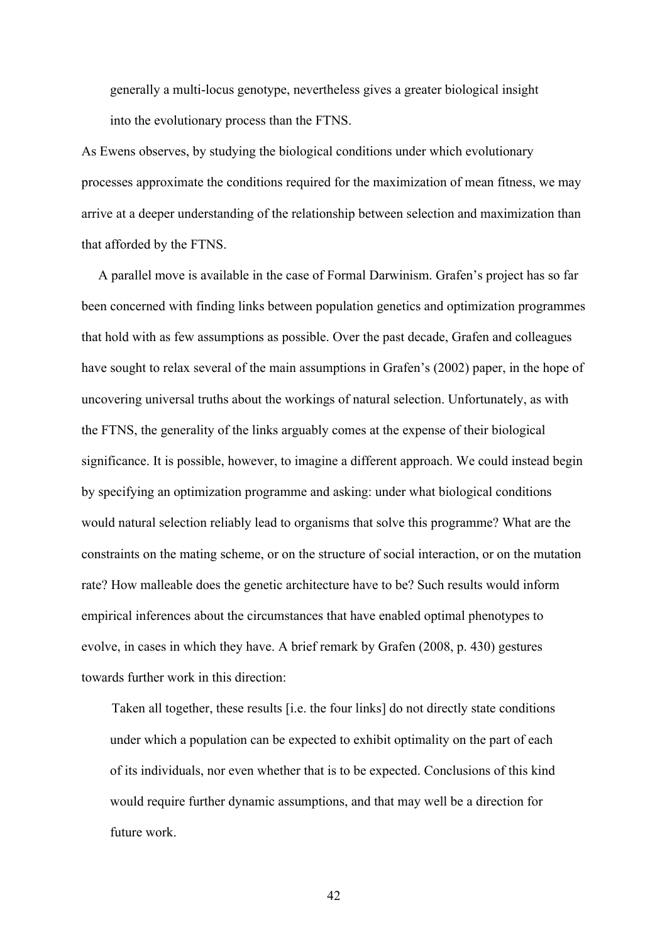generally a multi-locus genotype, nevertheless gives a greater biological insight into the evolutionary process than the FTNS.

As Ewens observes, by studying the biological conditions under which evolutionary processes approximate the conditions required for the maximization of mean fitness, we may arrive at a deeper understanding of the relationship between selection and maximization than that afforded by the FTNS.

A parallel move is available in the case of Formal Darwinism. Grafen's project has so far been concerned with finding links between population genetics and optimization programmes that hold with as few assumptions as possible. Over the past decade, Grafen and colleagues have sought to relax several of the main assumptions in Grafen's (2002) paper, in the hope of uncovering universal truths about the workings of natural selection. Unfortunately, as with the FTNS, the generality of the links arguably comes at the expense of their biological significance. It is possible, however, to imagine a different approach. We could instead begin by specifying an optimization programme and asking: under what biological conditions would natural selection reliably lead to organisms that solve this programme? What are the constraints on the mating scheme, or on the structure of social interaction, or on the mutation rate? How malleable does the genetic architecture have to be? Such results would inform empirical inferences about the circumstances that have enabled optimal phenotypes to evolve, in cases in which they have. A brief remark by Grafen (2008, p. 430) gestures towards further work in this direction:

Taken all together, these results [i.e. the four links] do not directly state conditions under which a population can be expected to exhibit optimality on the part of each of its individuals, nor even whether that is to be expected. Conclusions of this kind would require further dynamic assumptions, and that may well be a direction for future work.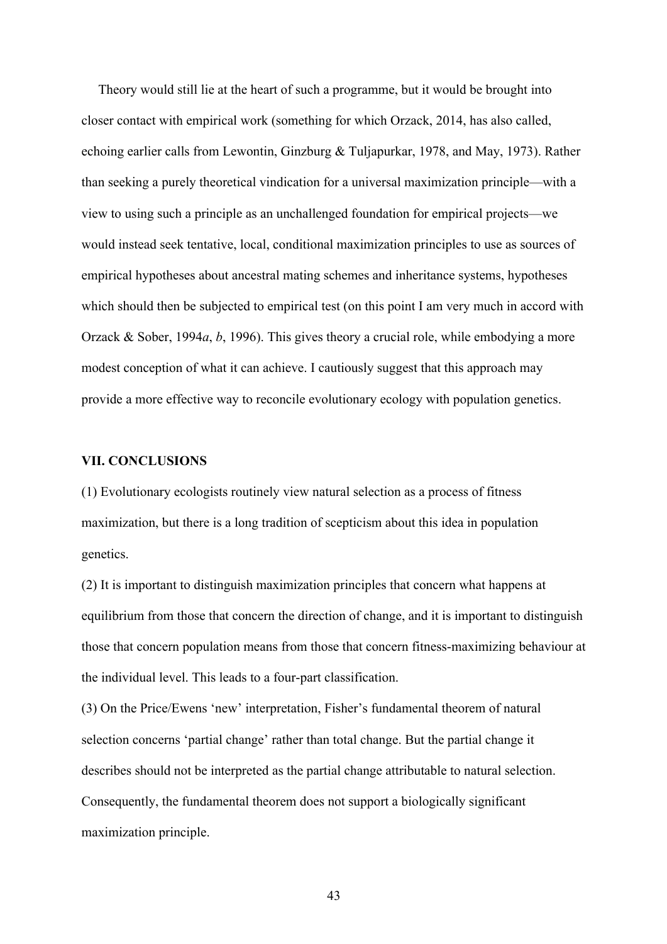Theory would still lie at the heart of such a programme, but it would be brought into closer contact with empirical work (something for which Orzack, 2014, has also called, echoing earlier calls from Lewontin, Ginzburg & Tuljapurkar, 1978, and May, 1973). Rather than seeking a purely theoretical vindication for a universal maximization principle—with a view to using such a principle as an unchallenged foundation for empirical projects—we would instead seek tentative, local, conditional maximization principles to use as sources of empirical hypotheses about ancestral mating schemes and inheritance systems, hypotheses which should then be subjected to empirical test (on this point I am very much in accord with Orzack & Sober, 1994*a*, *b*, 1996). This gives theory a crucial role, while embodying a more modest conception of what it can achieve. I cautiously suggest that this approach may provide a more effective way to reconcile evolutionary ecology with population genetics.

#### **VII. CONCLUSIONS**

(1) Evolutionary ecologists routinely view natural selection as a process of fitness maximization, but there is a long tradition of scepticism about this idea in population genetics.

(2) It is important to distinguish maximization principles that concern what happens at equilibrium from those that concern the direction of change, and it is important to distinguish those that concern population means from those that concern fitness-maximizing behaviour at the individual level. This leads to a four-part classification.

(3) On the Price/Ewens 'new' interpretation, Fisher's fundamental theorem of natural selection concerns 'partial change' rather than total change. But the partial change it describes should not be interpreted as the partial change attributable to natural selection. Consequently, the fundamental theorem does not support a biologically significant maximization principle.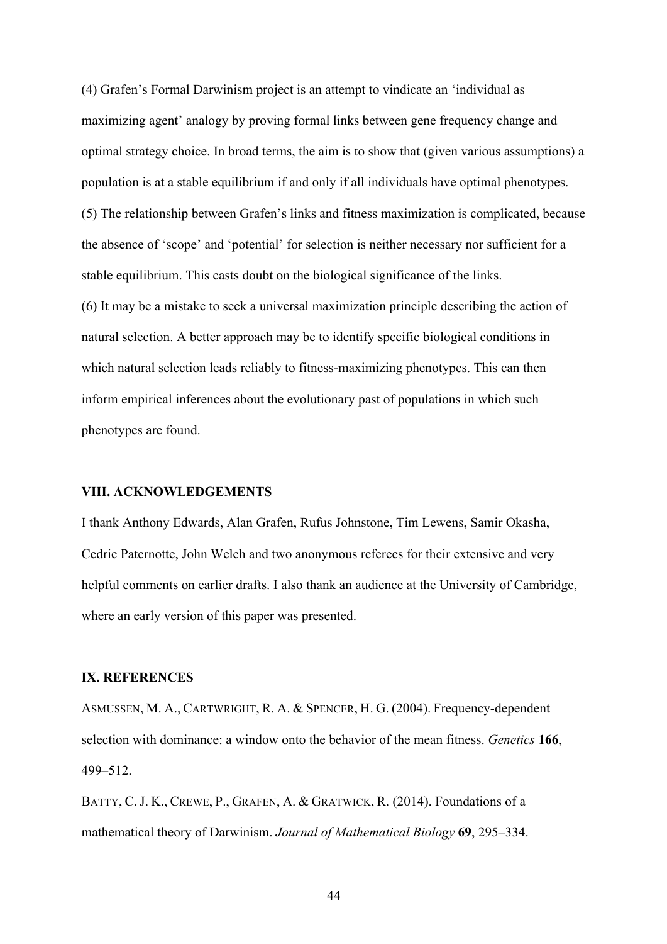(4) Grafen's Formal Darwinism project is an attempt to vindicate an 'individual as maximizing agent' analogy by proving formal links between gene frequency change and optimal strategy choice. In broad terms, the aim is to show that (given various assumptions) a population is at a stable equilibrium if and only if all individuals have optimal phenotypes. (5) The relationship between Grafen's links and fitness maximization is complicated, because the absence of 'scope' and 'potential' for selection is neither necessary nor sufficient for a stable equilibrium. This casts doubt on the biological significance of the links. (6) It may be a mistake to seek a universal maximization principle describing the action of natural selection. A better approach may be to identify specific biological conditions in which natural selection leads reliably to fitness-maximizing phenotypes. This can then inform empirical inferences about the evolutionary past of populations in which such phenotypes are found.

#### **VIII. ACKNOWLEDGEMENTS**

I thank Anthony Edwards, Alan Grafen, Rufus Johnstone, Tim Lewens, Samir Okasha, Cedric Paternotte, John Welch and two anonymous referees for their extensive and very helpful comments on earlier drafts. I also thank an audience at the University of Cambridge, where an early version of this paper was presented.

#### **IX. REFERENCES**

ASMUSSEN, M. A., CARTWRIGHT, R. A. & SPENCER, H. G. (2004). Frequency-dependent selection with dominance: a window onto the behavior of the mean fitness. *Genetics* **166**, 499–512.

BATTY, C. J. K., CREWE, P., GRAFEN, A. & GRATWICK, R. (2014). Foundations of a mathematical theory of Darwinism. *Journal of Mathematical Biology* **69**, 295–334.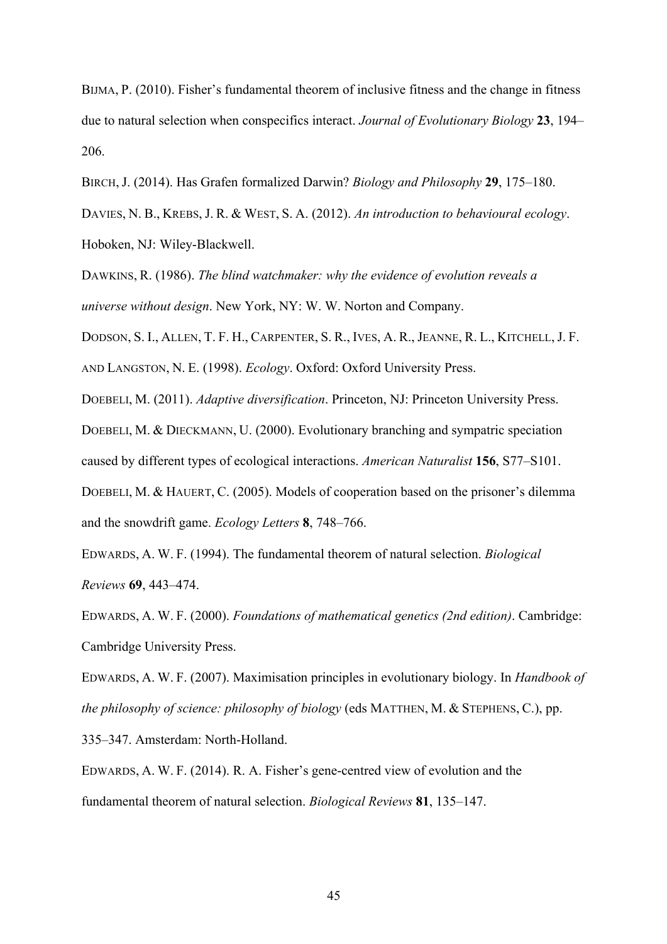BIJMA, P. (2010). Fisher's fundamental theorem of inclusive fitness and the change in fitness due to natural selection when conspecifics interact. *Journal of Evolutionary Biology* **23**, 194– 206.

BIRCH, J. (2014). Has Grafen formalized Darwin? *Biology and Philosophy* **29**, 175–180.

DAVIES, N. B., KREBS, J. R. & WEST, S. A. (2012). *An introduction to behavioural ecology*. Hoboken, NJ: Wiley-Blackwell.

DAWKINS, R. (1986). *The blind watchmaker: why the evidence of evolution reveals a universe without design*. New York, NY: W. W. Norton and Company.

DODSON, S. I., ALLEN, T. F. H., CARPENTER, S. R., IVES, A. R., JEANNE, R. L., KITCHELL, J. F. AND LANGSTON, N. E. (1998). *Ecology*. Oxford: Oxford University Press.

DOEBELI, M. (2011). *Adaptive diversification*. Princeton, NJ: Princeton University Press.

DOEBELI, M. & DIECKMANN, U. (2000). Evolutionary branching and sympatric speciation caused by different types of ecological interactions. *American Naturalist* **156**, S77–S101. DOEBELI, M. & HAUERT, C. (2005). Models of cooperation based on the prisoner's dilemma

and the snowdrift game. *Ecology Letters* **8**, 748–766.

EDWARDS, A. W. F. (1994). The fundamental theorem of natural selection. *Biological Reviews* **69**, 443–474.

EDWARDS, A. W. F. (2000). *Foundations of mathematical genetics (2nd edition)*. Cambridge: Cambridge University Press.

EDWARDS, A. W. F. (2007). Maximisation principles in evolutionary biology. In *Handbook of the philosophy of science: philosophy of biology* (eds MATTHEN, M. & STEPHENS, C.), pp. 335–347. Amsterdam: North-Holland.

EDWARDS, A. W. F. (2014). R. A. Fisher's gene-centred view of evolution and the fundamental theorem of natural selection. *Biological Reviews* **81**, 135–147.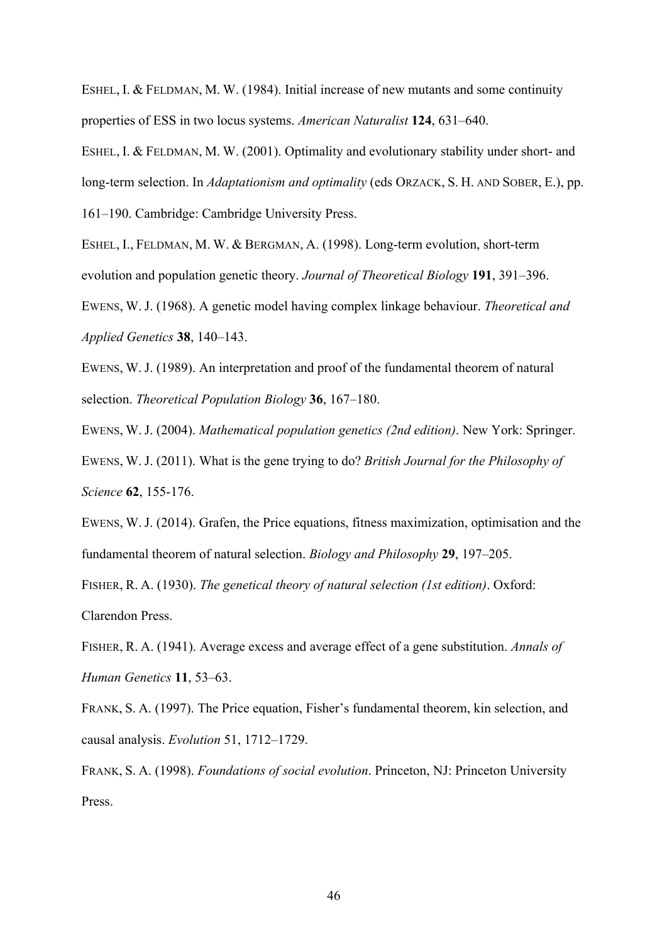ESHEL, I. & FELDMAN, M. W. (1984). Initial increase of new mutants and some continuity properties of ESS in two locus systems. *American Naturalist* **124**, 631–640.

ESHEL, I. & FELDMAN, M. W. (2001). Optimality and evolutionary stability under short- and long-term selection. In *Adaptationism and optimality* (eds ORZACK, S. H. AND SOBER, E.), pp. 161–190. Cambridge: Cambridge University Press.

ESHEL, I., FELDMAN, M. W. & BERGMAN, A. (1998). Long-term evolution, short-term evolution and population genetic theory. *Journal of Theoretical Biology* **191**, 391–396.

EWENS, W. J. (1968). A genetic model having complex linkage behaviour. *Theoretical and Applied Genetics* **38**, 140–143.

EWENS, W. J. (1989). An interpretation and proof of the fundamental theorem of natural selection. *Theoretical Population Biology* **36**, 167–180.

EWENS, W. J. (2004). *Mathematical population genetics (2nd edition)*. New York: Springer.

EWENS, W. J. (2011). What is the gene trying to do? *British Journal for the Philosophy of Science* **62**, 155-176.

EWENS, W. J. (2014). Grafen, the Price equations, fitness maximization, optimisation and the fundamental theorem of natural selection. *Biology and Philosophy* **29**, 197–205.

FISHER, R. A. (1930). *The genetical theory of natural selection (1st edition)*. Oxford: Clarendon Press.

FISHER, R. A. (1941). Average excess and average effect of a gene substitution. *Annals of Human Genetics* **11**, 53–63.

FRANK, S. A. (1997). The Price equation, Fisher's fundamental theorem, kin selection, and causal analysis. *Evolution* 51, 1712–1729.

FRANK, S. A. (1998). *Foundations of social evolution*. Princeton, NJ: Princeton University Press.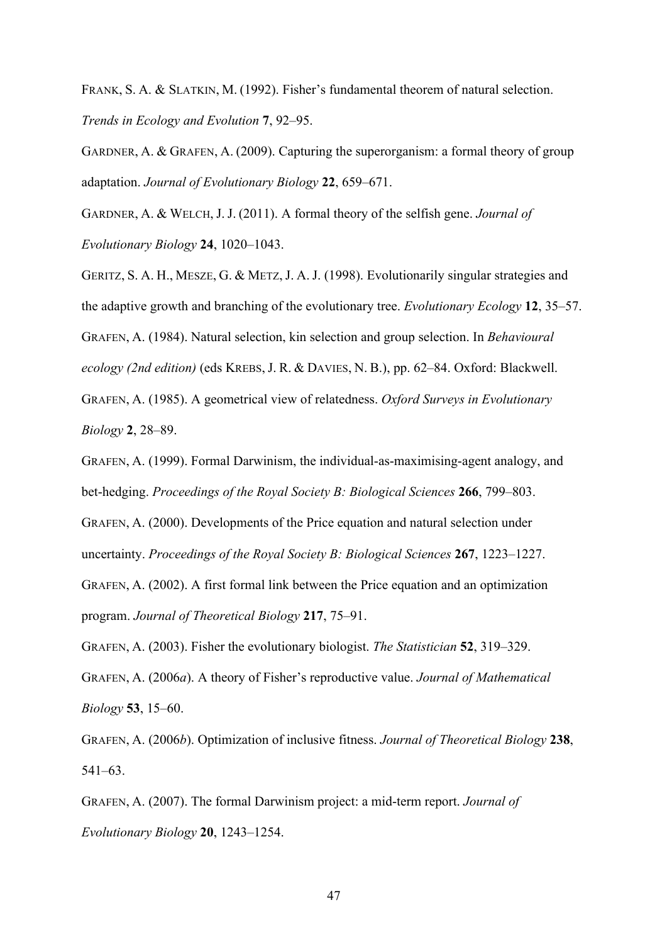FRANK, S. A. & SLATKIN, M. (1992). Fisher's fundamental theorem of natural selection. *Trends in Ecology and Evolution* **7**, 92–95.

GARDNER, A. & GRAFEN, A. (2009). Capturing the superorganism: a formal theory of group adaptation. *Journal of Evolutionary Biology* **22**, 659–671.

GARDNER, A. & WELCH, J. J. (2011). A formal theory of the selfish gene. *Journal of Evolutionary Biology* **24**, 1020–1043.

GERITZ, S. A. H., MESZE, G. & METZ, J. A. J. (1998). Evolutionarily singular strategies and the adaptive growth and branching of the evolutionary tree. *Evolutionary Ecology* **12**, 35–57. GRAFEN, A. (1984). Natural selection, kin selection and group selection. In *Behavioural ecology (2nd edition)* (eds KREBS, J. R. & DAVIES, N. B.), pp. 62–84. Oxford: Blackwell. GRAFEN, A. (1985). A geometrical view of relatedness. *Oxford Surveys in Evolutionary Biology* **2**, 28–89.

GRAFEN, A. (1999). Formal Darwinism, the individual-as-maximising-agent analogy, and bet-hedging. *Proceedings of the Royal Society B: Biological Sciences* **266**, 799–803.

GRAFEN, A. (2000). Developments of the Price equation and natural selection under uncertainty. *Proceedings of the Royal Society B: Biological Sciences* **267**, 1223–1227.

GRAFEN, A. (2002). A first formal link between the Price equation and an optimization program. *Journal of Theoretical Biology* **217**, 75–91.

GRAFEN, A. (2003). Fisher the evolutionary biologist. *The Statistician* **52**, 319–329.

GRAFEN, A. (2006*a*). A theory of Fisher's reproductive value. *Journal of Mathematical Biology* **53**, 15–60.

GRAFEN, A. (2006*b*). Optimization of inclusive fitness. *Journal of Theoretical Biology* **238**, 541–63.

GRAFEN, A. (2007). The formal Darwinism project: a mid-term report. *Journal of Evolutionary Biology* **20**, 1243–1254.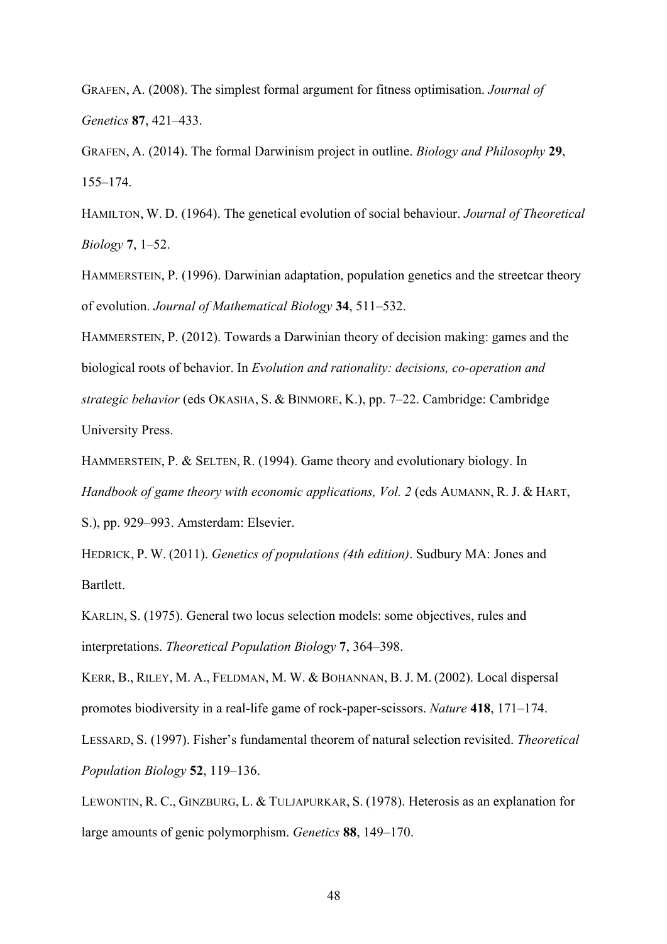GRAFEN, A. (2008). The simplest formal argument for fitness optimisation. *Journal of Genetics* **87**, 421–433.

GRAFEN, A. (2014). The formal Darwinism project in outline. *Biology and Philosophy* **29**, 155–174.

HAMILTON, W. D. (1964). The genetical evolution of social behaviour. *Journal of Theoretical Biology* **7**, 1–52.

HAMMERSTEIN, P. (1996). Darwinian adaptation, population genetics and the streetcar theory of evolution. *Journal of Mathematical Biology* **34**, 511–532.

HAMMERSTEIN, P. (2012). Towards a Darwinian theory of decision making: games and the biological roots of behavior. In *Evolution and rationality: decisions, co-operation and strategic behavior* (eds OKASHA, S. & BINMORE, K.), pp. 7–22. Cambridge: Cambridge University Press.

HAMMERSTEIN, P. & SELTEN, R. (1994). Game theory and evolutionary biology. In *Handbook of game theory with economic applications, Vol. 2* (eds AUMANN, R. J. & HART,

S.), pp. 929–993. Amsterdam: Elsevier.

HEDRICK, P. W. (2011). *Genetics of populations (4th edition)*. Sudbury MA: Jones and Bartlett.

KARLIN, S. (1975). General two locus selection models: some objectives, rules and interpretations. *Theoretical Population Biology* **7**, 364–398.

KERR, B., RILEY, M. A., FELDMAN, M. W. & BOHANNAN, B. J. M. (2002). Local dispersal promotes biodiversity in a real-life game of rock-paper-scissors. *Nature* **418**, 171–174.

LESSARD, S. (1997). Fisher's fundamental theorem of natural selection revisited. *Theoretical Population Biology* **52**, 119–136.

LEWONTIN, R. C., GINZBURG, L. & TULJAPURKAR, S. (1978). Heterosis as an explanation for large amounts of genic polymorphism. *Genetics* **88**, 149–170.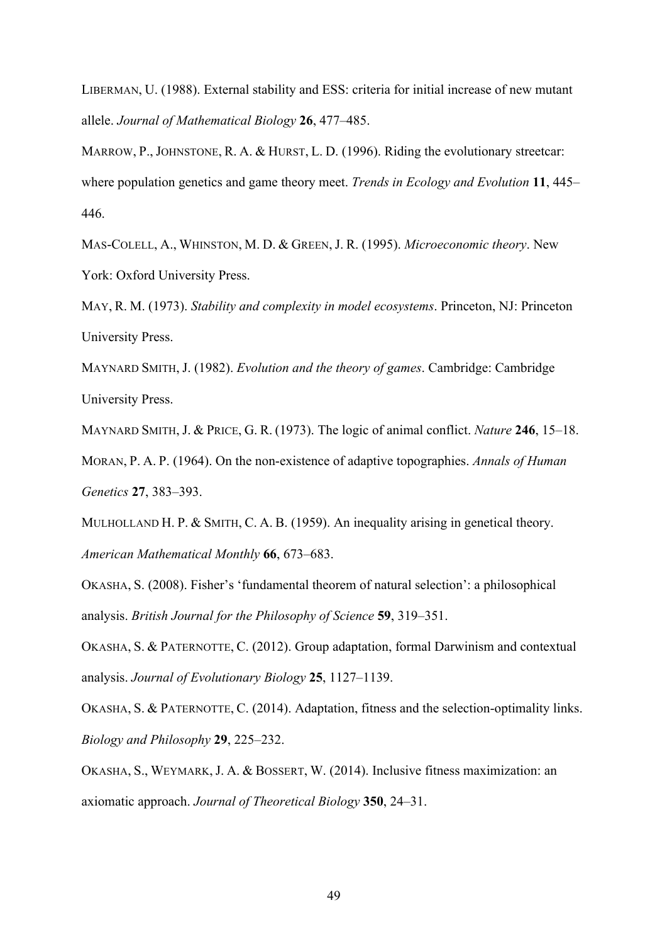LIBERMAN, U. (1988). External stability and ESS: criteria for initial increase of new mutant allele. *Journal of Mathematical Biology* **26**, 477–485.

MARROW, P., JOHNSTONE, R. A. & HURST, L. D. (1996). Riding the evolutionary streetcar: where population genetics and game theory meet. *Trends in Ecology and Evolution* **11**, 445– 446.

MAS-COLELL, A., WHINSTON, M. D. & GREEN, J. R. (1995). *Microeconomic theory*. New York: Oxford University Press.

MAY, R. M. (1973). *Stability and complexity in model ecosystems*. Princeton, NJ: Princeton University Press.

MAYNARD SMITH, J. (1982). *Evolution and the theory of games*. Cambridge: Cambridge University Press.

MAYNARD SMITH, J. & PRICE, G. R. (1973). The logic of animal conflict. *Nature* **246**, 15–18.

MORAN, P. A. P. (1964). On the non-existence of adaptive topographies. *Annals of Human Genetics* **27**, 383–393.

MULHOLLAND H. P. & SMITH, C. A. B. (1959). An inequality arising in genetical theory. *American Mathematical Monthly* **66**, 673–683.

OKASHA, S. (2008). Fisher's 'fundamental theorem of natural selection': a philosophical analysis. *British Journal for the Philosophy of Science* **59**, 319–351.

OKASHA, S. & PATERNOTTE, C. (2012). Group adaptation, formal Darwinism and contextual analysis. *Journal of Evolutionary Biology* **25**, 1127–1139.

OKASHA, S. & PATERNOTTE, C. (2014). Adaptation, fitness and the selection-optimality links. *Biology and Philosophy* **29**, 225–232.

OKASHA, S., WEYMARK, J. A. & BOSSERT, W. (2014). Inclusive fitness maximization: an axiomatic approach. *Journal of Theoretical Biology* **350**, 24–31.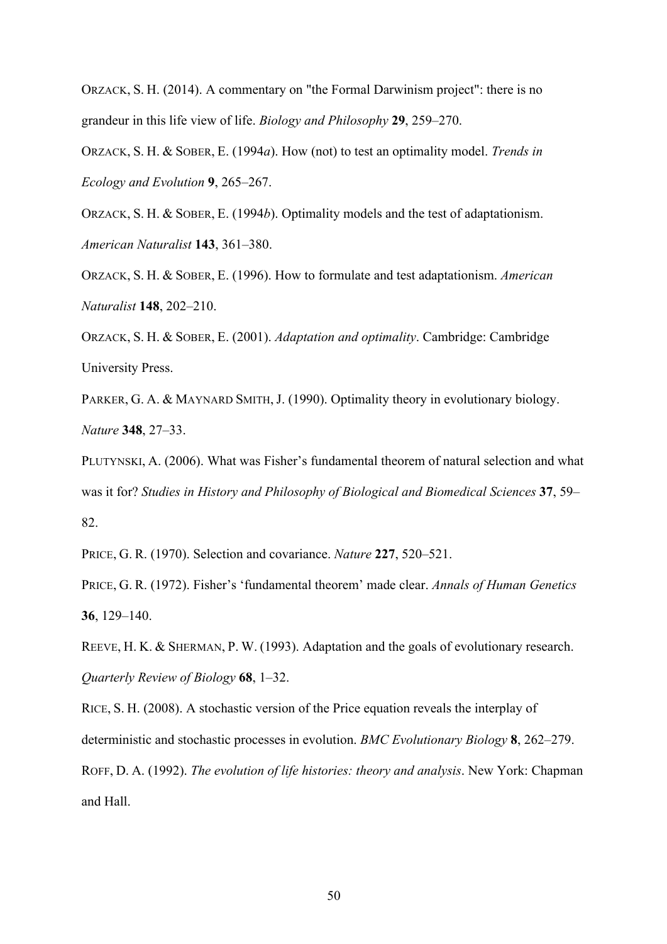ORZACK, S. H. (2014). A commentary on "the Formal Darwinism project": there is no grandeur in this life view of life. *Biology and Philosophy* **29**, 259–270.

ORZACK, S. H. & SOBER, E. (1994*a*). How (not) to test an optimality model. *Trends in Ecology and Evolution* **9**, 265–267.

ORZACK, S. H. & SOBER, E. (1994*b*). Optimality models and the test of adaptationism. *American Naturalist* **143**, 361–380.

ORZACK, S. H. & SOBER, E. (1996). How to formulate and test adaptationism. *American Naturalist* **148**, 202–210.

ORZACK, S. H. & SOBER, E. (2001). *Adaptation and optimality*. Cambridge: Cambridge University Press.

PARKER, G. A. & MAYNARD SMITH, J. (1990). Optimality theory in evolutionary biology. *Nature* **348**, 27–33.

PLUTYNSKI, A. (2006). What was Fisher's fundamental theorem of natural selection and what was it for? *Studies in History and Philosophy of Biological and Biomedical Sciences* **37**, 59– 82.

PRICE, G. R. (1970). Selection and covariance. *Nature* **227**, 520–521.

PRICE, G. R. (1972). Fisher's 'fundamental theorem' made clear. *Annals of Human Genetics* **36**, 129–140.

REEVE, H. K. & SHERMAN, P. W. (1993). Adaptation and the goals of evolutionary research. *Quarterly Review of Biology* **68**, 1–32.

RICE, S. H. (2008). A stochastic version of the Price equation reveals the interplay of deterministic and stochastic processes in evolution. *BMC Evolutionary Biology* **8**, 262–279. ROFF, D. A. (1992). *The evolution of life histories: theory and analysis*. New York: Chapman and Hall.